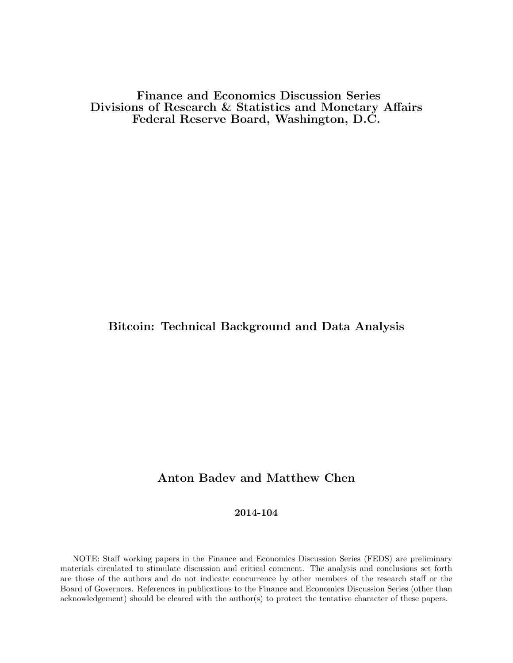Finance and Economics Discussion Series Divisions of Research & Statistics and Monetary Affairs Federal Reserve Board, Washington, D.C.

## Bitcoin: Technical Background and Data Analysis

## Anton Badev and Matthew Chen

#### 2014-104

NOTE: Staff working papers in the Finance and Economics Discussion Series (FEDS) are preliminary materials circulated to stimulate discussion and critical comment. The analysis and conclusions set forth are those of the authors and do not indicate concurrence by other members of the research staff or the Board of Governors. References in publications to the Finance and Economics Discussion Series (other than acknowledgement) should be cleared with the author(s) to protect the tentative character of these papers.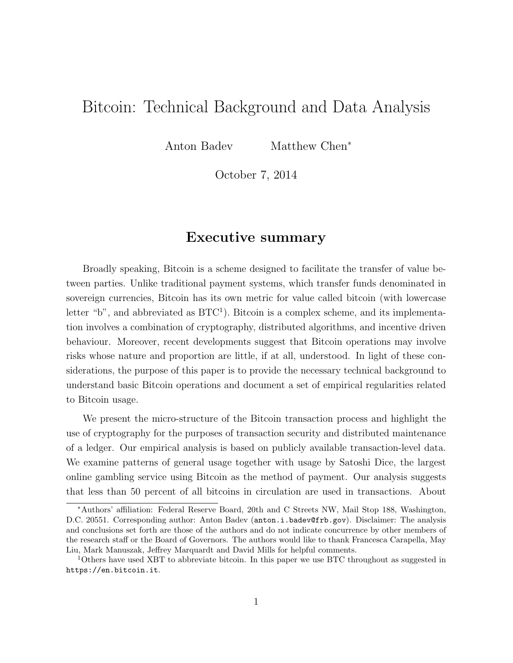# Bitcoin: Technical Background and Data Analysis

Anton Badev Matthew Chen<sup>∗</sup>

October 7, 2014

# Executive summary

Broadly speaking, Bitcoin is a scheme designed to facilitate the transfer of value between parties. Unlike traditional payment systems, which transfer funds denominated in sovereign currencies, Bitcoin has its own metric for value called bitcoin (with lowercase letter "b", and abbreviated as  $BTC<sup>1</sup>$  $BTC<sup>1</sup>$  $BTC<sup>1</sup>$ ). Bitcoin is a complex scheme, and its implementation involves a combination of cryptography, distributed algorithms, and incentive driven behaviour. Moreover, recent developments suggest that Bitcoin operations may involve risks whose nature and proportion are little, if at all, understood. In light of these considerations, the purpose of this paper is to provide the necessary technical background to understand basic Bitcoin operations and document a set of empirical regularities related to Bitcoin usage.

We present the micro-structure of the Bitcoin transaction process and highlight the use of cryptography for the purposes of transaction security and distributed maintenance of a ledger. Our empirical analysis is based on publicly available transaction-level data. We examine patterns of general usage together with usage by Satoshi Dice, the largest online gambling service using Bitcoin as the method of payment. Our analysis suggests that less than 50 percent of all bitcoins in circulation are used in transactions. About

<sup>∗</sup>Authors' affiliation: Federal Reserve Board, 20th and C Streets NW, Mail Stop 188, Washington, D.C. 20551. Corresponding author: Anton Badev (anton.i.badev@frb.gov). Disclaimer: The analysis and conclusions set forth are those of the authors and do not indicate concurrence by other members of the research staff or the Board of Governors. The authors would like to thank Francesca Carapella, May Liu, Mark Manuszak, Jeffrey Marquardt and David Mills for helpful comments.

<span id="page-1-0"></span><sup>1</sup>Others have used XBT to abbreviate bitcoin. In this paper we use BTC throughout as suggested in <https://en.bitcoin.it>.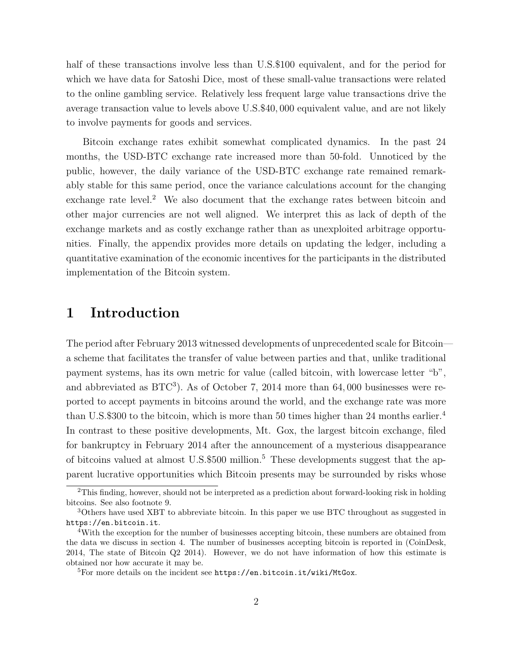half of these transactions involve less than U.S.\$100 equivalent, and for the period for which we have data for Satoshi Dice, most of these small-value transactions were related to the online gambling service. Relatively less frequent large value transactions drive the average transaction value to levels above U.S.\$40, 000 equivalent value, and are not likely to involve payments for goods and services.

Bitcoin exchange rates exhibit somewhat complicated dynamics. In the past 24 months, the USD-BTC exchange rate increased more than 50-fold. Unnoticed by the public, however, the daily variance of the USD-BTC exchange rate remained remarkably stable for this same period, once the variance calculations account for the changing exchange rate level.<sup>[2](#page-2-0)</sup> We also document that the exchange rates between bitcoin and other major currencies are not well aligned. We interpret this as lack of depth of the exchange markets and as costly exchange rather than as unexploited arbitrage opportunities. Finally, the appendix provides more details on updating the ledger, including a quantitative examination of the economic incentives for the participants in the distributed implementation of the Bitcoin system.

# 1 Introduction

The period after February 2013 witnessed developments of unprecedented scale for Bitcoin a scheme that facilitates the transfer of value between parties and that, unlike traditional payment systems, has its own metric for value (called bitcoin, with lowercase letter "b", and abbreviated as BTC<sup>[3](#page-2-1)</sup>). As of October 7, 2014 more than 64,000 businesses were reported to accept payments in bitcoins around the world, and the exchange rate was more than U.S.\$300 to the bitcoin, which is more than 50 times higher than 2[4](#page-2-2) months earlier.<sup>4</sup> In contrast to these positive developments, Mt. Gox, the largest bitcoin exchange, filed for bankruptcy in February 2014 after the announcement of a mysterious disappearance of bitcoins valued at almost U.S.\$500 million.[5](#page-2-3) These developments suggest that the apparent lucrative opportunities which Bitcoin presents may be surrounded by risks whose

<span id="page-2-0"></span><sup>&</sup>lt;sup>2</sup>This finding, however, should not be interpreted as a prediction about forward-looking risk in holding bitcoins. See also footnote [9.](#page-4-0)

<span id="page-2-1"></span><sup>3</sup>Others have used XBT to abbreviate bitcoin. In this paper we use BTC throughout as suggested in <https://en.bitcoin.it>.

<span id="page-2-2"></span><sup>4</sup>With the exception for the number of businesses accepting bitcoin, these numbers are obtained from the data we discuss in section [4.](#page-15-0) The number of businesses accepting bitcoin is reported in [\(CoinDesk,](#page-36-0) [2014,](#page-36-0) The state of Bitcoin Q2 2014). However, we do not have information of how this estimate is obtained nor how accurate it may be.

<span id="page-2-3"></span> $5F$ For more details on the incident see <https://en.bitcoin.it/wiki/MtGox>.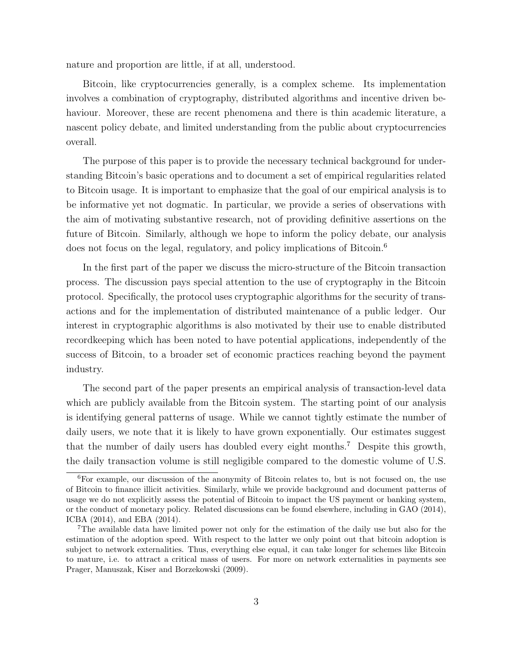nature and proportion are little, if at all, understood.

Bitcoin, like cryptocurrencies generally, is a complex scheme. Its implementation involves a combination of cryptography, distributed algorithms and incentive driven behaviour. Moreover, these are recent phenomena and there is thin academic literature, a nascent policy debate, and limited understanding from the public about cryptocurrencies overall.

The purpose of this paper is to provide the necessary technical background for understanding Bitcoin's basic operations and to document a set of empirical regularities related to Bitcoin usage. It is important to emphasize that the goal of our empirical analysis is to be informative yet not dogmatic. In particular, we provide a series of observations with the aim of motivating substantive research, not of providing definitive assertions on the future of Bitcoin. Similarly, although we hope to inform the policy debate, our analysis does not focus on the legal, regulatory, and policy implications of Bitcoin.[6](#page-3-0)

In the first part of the paper we discuss the micro-structure of the Bitcoin transaction process. The discussion pays special attention to the use of cryptography in the Bitcoin protocol. Specifically, the protocol uses cryptographic algorithms for the security of transactions and for the implementation of distributed maintenance of a public ledger. Our interest in cryptographic algorithms is also motivated by their use to enable distributed recordkeeping which has been noted to have potential applications, independently of the success of Bitcoin, to a broader set of economic practices reaching beyond the payment industry.

The second part of the paper presents an empirical analysis of transaction-level data which are publicly available from the Bitcoin system. The starting point of our analysis is identifying general patterns of usage. While we cannot tightly estimate the number of daily users, we note that it is likely to have grown exponentially. Our estimates suggest that the number of daily users has doubled every eight months.[7](#page-3-1) Despite this growth, the daily transaction volume is still negligible compared to the domestic volume of U.S.

<span id="page-3-0"></span><sup>6</sup>For example, our discussion of the anonymity of Bitcoin relates to, but is not focused on, the use of Bitcoin to finance illicit activities. Similarly, while we provide background and document patterns of usage we do not explicitly assess the potential of Bitcoin to impact the US payment or banking system, or the conduct of monetary policy. Related discussions can be found elsewhere, including in [GAO](#page-36-1) [\(2014\)](#page-36-1), [ICBA](#page-37-0) [\(2014\)](#page-37-0), and [EBA](#page-36-2) [\(2014\)](#page-36-2).

<span id="page-3-1"></span><sup>7</sup>The available data have limited power not only for the estimation of the daily use but also for the estimation of the adoption speed. With respect to the latter we only point out that bitcoin adoption is subject to network externalities. Thus, everything else equal, it can take longer for schemes like Bitcoin to mature, i.e. to attract a critical mass of users. For more on network externalities in payments see [Prager, Manuszak, Kiser and Borzekowski](#page-37-1) [\(2009\)](#page-37-1).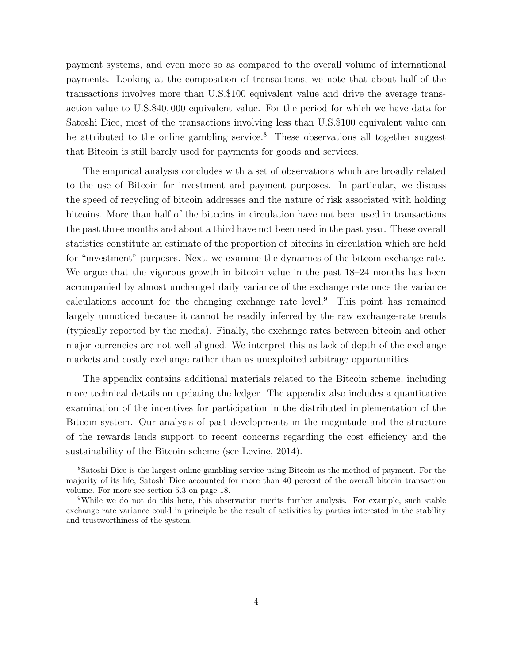payment systems, and even more so as compared to the overall volume of international payments. Looking at the composition of transactions, we note that about half of the transactions involves more than U.S.\$100 equivalent value and drive the average transaction value to U.S.\$40, 000 equivalent value. For the period for which we have data for Satoshi Dice, most of the transactions involving less than U.S.\$100 equivalent value can be attributed to the online gambling service.<sup>[8](#page-4-1)</sup> These observations all together suggest that Bitcoin is still barely used for payments for goods and services.

The empirical analysis concludes with a set of observations which are broadly related to the use of Bitcoin for investment and payment purposes. In particular, we discuss the speed of recycling of bitcoin addresses and the nature of risk associated with holding bitcoins. More than half of the bitcoins in circulation have not been used in transactions the past three months and about a third have not been used in the past year. These overall statistics constitute an estimate of the proportion of bitcoins in circulation which are held for "investment" purposes. Next, we examine the dynamics of the bitcoin exchange rate. We argue that the vigorous growth in bitcoin value in the past 18–24 months has been accompanied by almost unchanged daily variance of the exchange rate once the variance calculations account for the changing exchange rate level.<sup>[9](#page-4-0)</sup> This point has remained largely unnoticed because it cannot be readily inferred by the raw exchange-rate trends (typically reported by the media). Finally, the exchange rates between bitcoin and other major currencies are not well aligned. We interpret this as lack of depth of the exchange markets and costly exchange rather than as unexploited arbitrage opportunities.

The appendix contains additional materials related to the Bitcoin scheme, including more technical details on updating the ledger. The appendix also includes a quantitative examination of the incentives for participation in the distributed implementation of the Bitcoin system. Our analysis of past developments in the magnitude and the structure of the rewards lends support to recent concerns regarding the cost efficiency and the sustainability of the Bitcoin scheme (see [Levine,](#page-37-2) [2014\)](#page-37-2).

<span id="page-4-1"></span><sup>8</sup>Satoshi Dice is the largest online gambling service using Bitcoin as the method of payment. For the majority of its life, Satoshi Dice accounted for more than 40 percent of the overall bitcoin transaction volume. For more see section [5.3](#page-18-0) on page [18.](#page-18-0)

<span id="page-4-0"></span><sup>9</sup>While we do not do this here, this observation merits further analysis. For example, such stable exchange rate variance could in principle be the result of activities by parties interested in the stability and trustworthiness of the system.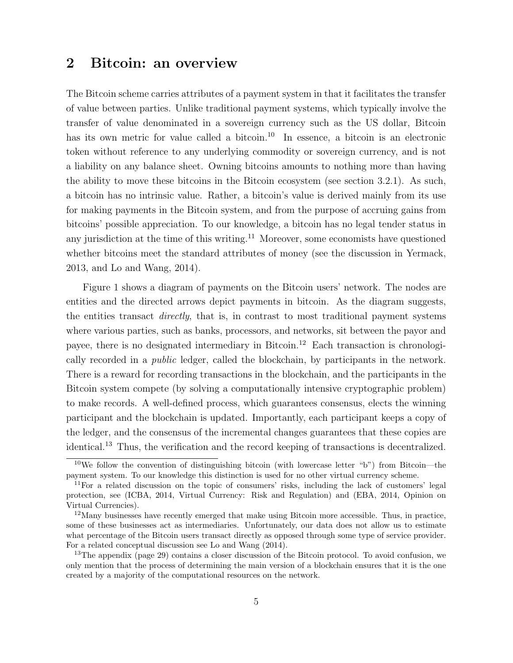# 2 Bitcoin: an overview

The Bitcoin scheme carries attributes of a payment system in that it facilitates the transfer of value between parties. Unlike traditional payment systems, which typically involve the transfer of value denominated in a sovereign currency such as the US dollar, Bitcoin has its own metric for value called a bitcoin.<sup>[10](#page-5-0)</sup> In essence, a bitcoin is an electronic token without reference to any underlying commodity or sovereign currency, and is not a liability on any balance sheet. Owning bitcoins amounts to nothing more than having the ability to move these bitcoins in the Bitcoin ecosystem (see section [3.2.1\)](#page-10-0). As such, a bitcoin has no intrinsic value. Rather, a bitcoin's value is derived mainly from its use for making payments in the Bitcoin system, and from the purpose of accruing gains from bitcoins' possible appreciation. To our knowledge, a bitcoin has no legal tender status in any jurisdiction at the time of this writing.<sup>[11](#page-5-1)</sup> Moreover, some economists have questioned whether bitcoins meet the standard attributes of money (see the discussion in [Yermack,](#page-38-0) [2013,](#page-38-0) and [Lo and Wang,](#page-37-3) [2014\)](#page-37-3).

Figure [1](#page-6-0) shows a diagram of payments on the Bitcoin users' network. The nodes are entities and the directed arrows depict payments in bitcoin. As the diagram suggests, the entities transact *directly*, that is, in contrast to most traditional payment systems where various parties, such as banks, processors, and networks, sit between the payor and payee, there is no designated intermediary in Bitcoin.<sup>[12](#page-5-2)</sup> Each transaction is chronologically recorded in a public ledger, called the blockchain, by participants in the network. There is a reward for recording transactions in the blockchain, and the participants in the Bitcoin system compete (by solving a computationally intensive cryptographic problem) to make records. A well-defined process, which guarantees consensus, elects the winning participant and the blockchain is updated. Importantly, each participant keeps a copy of the ledger, and the consensus of the incremental changes guarantees that these copies are identical.[13](#page-5-3) Thus, the verification and the record keeping of transactions is decentralized.

<span id="page-5-0"></span><sup>&</sup>lt;sup>10</sup>We follow the convention of distinguishing bitcoin (with lowercase letter "b") from Bitcoin—the payment system. To our knowledge this distinction is used for no other virtual currency scheme.

<span id="page-5-1"></span><sup>11</sup>For a related discussion on the topic of consumers' risks, including the lack of customers' legal protection, see [\(ICBA,](#page-37-0) [2014,](#page-37-0) Virtual Currency: Risk and Regulation) and [\(EBA,](#page-36-2) [2014,](#page-36-2) Opinion on Virtual Currencies).

<span id="page-5-2"></span><sup>12</sup>Many businesses have recently emerged that make using Bitcoin more accessible. Thus, in practice, some of these businesses act as intermediaries. Unfortunately, our data does not allow us to estimate what percentage of the Bitcoin users transact directly as opposed through some type of service provider. For a related conceptual discussion see [Lo and Wang](#page-37-3) [\(2014\)](#page-37-3).

<span id="page-5-3"></span><sup>&</sup>lt;sup>13</sup>The appendix (page [29\)](#page-29-0) contains a closer discussion of the Bitcoin protocol. To avoid confusion, we only mention that the process of determining the main version of a blockchain ensures that it is the one created by a majority of the computational resources on the network.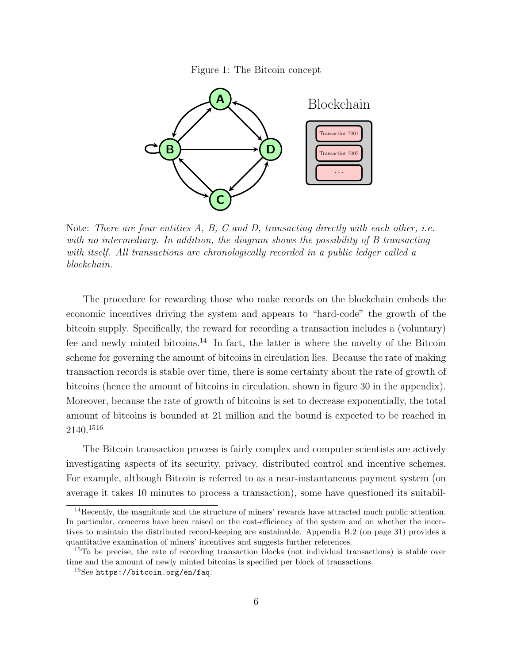<span id="page-6-0"></span>Figure 1: The Bitcoin concept



Note: There are four entities  $A, B, C$  and  $D$ , transacting directly with each other, i.e. with no intermediary. In addition, the diagram shows the possibility of B transacting with itself. All transactions are chronologically recorded in a public ledger called a blockchain.

The procedure for rewarding those who make records on the blockchain embeds the economic incentives driving the system and appears to "hard-code" the growth of the bitcoin supply. Specifically, the reward for recording a transaction includes a (voluntary) fee and newly minted bitcoins.<sup>[14](#page-6-1)</sup> In fact, the latter is where the novelty of the Bitcoin scheme for governing the amount of bitcoins in circulation lies. Because the rate of making transaction records is stable over time, there is some certainty about the rate of growth of bitcoins (hence the amount of bitcoins in circulation, shown in figure [30](#page-33-0) in the appendix). Moreover, because the rate of growth of bitcoins is set to decrease exponentially, the total amount of bitcoins is bounded at 21 million and the bound is expected to be reached in 2140.[15](#page-6-2)[16](#page-6-3)

The Bitcoin transaction process is fairly complex and computer scientists are actively investigating aspects of its security, privacy, distributed control and incentive schemes. For example, although Bitcoin is referred to as a near-instantaneous payment system (on average it takes 10 minutes to process a transaction), some have questioned its suitabil-

<span id="page-6-1"></span><sup>&</sup>lt;sup>14</sup>Recently, the magnitude and the structure of miners' rewards have attracted much public attention. In particular, concerns have been raised on the cost-efficiency of the system and on whether the incentives to maintain the distributed record-keeping are sustainable. Appendix [B.2](#page-31-0) (on page [31\)](#page-31-0) provides a quantitative examination of miners' incentives and suggests further references.

<span id="page-6-2"></span><sup>&</sup>lt;sup>15</sup>To be precise, the rate of recording transaction blocks (not individual transactions) is stable over time and the amount of newly minted bitcoins is specified per block of transactions.

<span id="page-6-3"></span> $16$ See <https://bitcoin.org/en/faq>.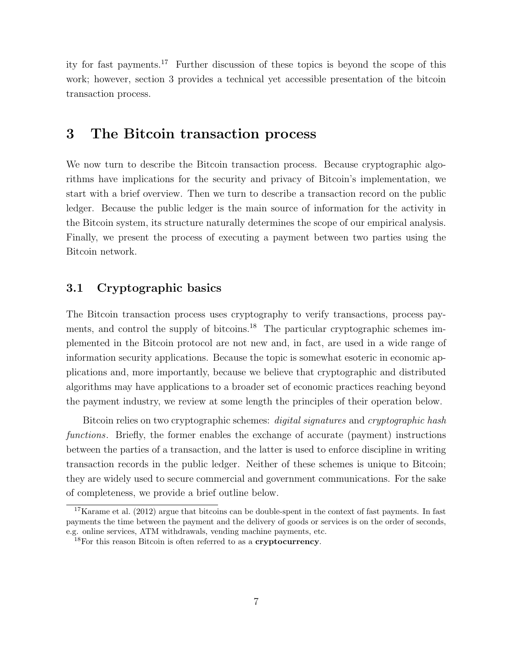ity for fast payments.[17](#page-7-0) Further discussion of these topics is beyond the scope of this work; however, section 3 provides a technical yet accessible presentation of the bitcoin transaction process.

# 3 The Bitcoin transaction process

We now turn to describe the Bitcoin transaction process. Because cryptographic algorithms have implications for the security and privacy of Bitcoin's implementation, we start with a brief overview. Then we turn to describe a transaction record on the public ledger. Because the public ledger is the main source of information for the activity in the Bitcoin system, its structure naturally determines the scope of our empirical analysis. Finally, we present the process of executing a payment between two parties using the Bitcoin network.

## 3.1 Cryptographic basics

The Bitcoin transaction process uses cryptography to verify transactions, process pay-ments, and control the supply of bitcoins.<sup>[18](#page-7-1)</sup> The particular cryptographic schemes implemented in the Bitcoin protocol are not new and, in fact, are used in a wide range of information security applications. Because the topic is somewhat esoteric in economic applications and, more importantly, because we believe that cryptographic and distributed algorithms may have applications to a broader set of economic practices reaching beyond the payment industry, we review at some length the principles of their operation below.

Bitcoin relies on two cryptographic schemes: *digital signatures* and *cryptographic hash* functions. Briefly, the former enables the exchange of accurate (payment) instructions between the parties of a transaction, and the latter is used to enforce discipline in writing transaction records in the public ledger. Neither of these schemes is unique to Bitcoin; they are widely used to secure commercial and government communications. For the sake of completeness, we provide a brief outline below.

<span id="page-7-0"></span><sup>17</sup>[Karame et al.](#page-37-4) [\(2012\)](#page-37-4) argue that bitcoins can be double-spent in the context of fast payments. In fast payments the time between the payment and the delivery of goods or services is on the order of seconds, e.g. online services, ATM withdrawals, vending machine payments, etc.

<span id="page-7-1"></span> $^{18}$ For this reason Bitcoin is often referred to as a cryptocurrency.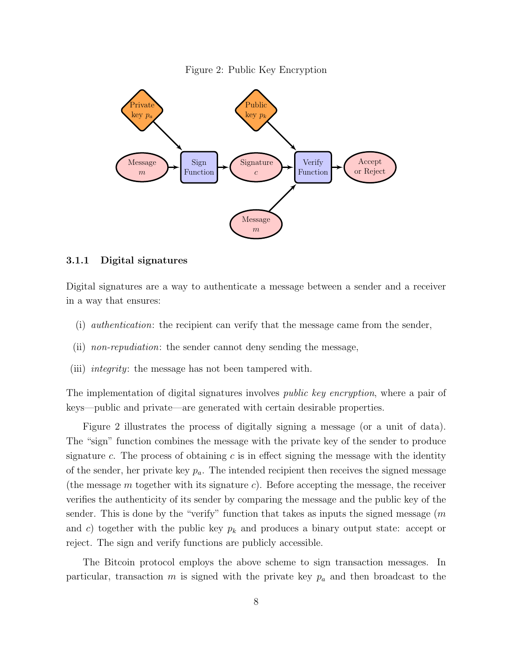<span id="page-8-0"></span>Figure 2: Public Key Encryption



#### 3.1.1 Digital signatures

Digital signatures are a way to authenticate a message between a sender and a receiver in a way that ensures:

- (i) authentication: the recipient can verify that the message came from the sender,
- (ii) non-repudiation: the sender cannot deny sending the message,
- (iii) integrity: the message has not been tampered with.

The implementation of digital signatures involves *public key encryption*, where a pair of keys—public and private—are generated with certain desirable properties.

Figure [2](#page-8-0) illustrates the process of digitally signing a message (or a unit of data). The "sign" function combines the message with the private key of the sender to produce signature c. The process of obtaining c is in effect signing the message with the identity of the sender, her private key  $p_a$ . The intended recipient then receives the signed message (the message  $m$  together with its signature  $c$ ). Before accepting the message, the receiver verifies the authenticity of its sender by comparing the message and the public key of the sender. This is done by the "verify" function that takes as inputs the signed message  $(m)$ and c) together with the public key  $p_k$  and produces a binary output state: accept or reject. The sign and verify functions are publicly accessible.

The Bitcoin protocol employs the above scheme to sign transaction messages. In particular, transaction m is signed with the private key  $p_a$  and then broadcast to the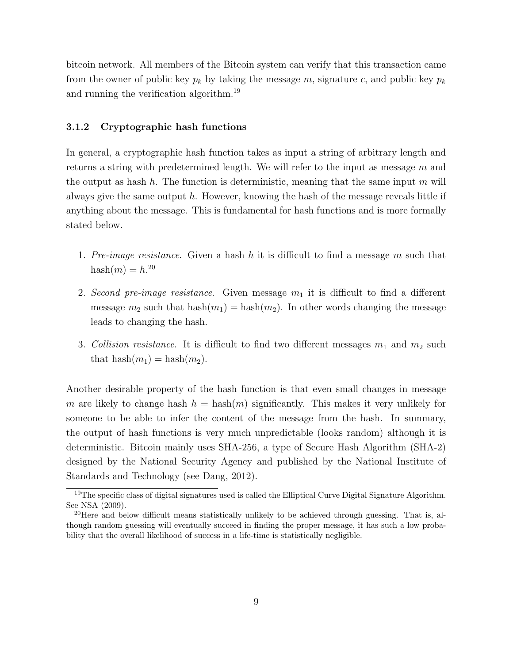bitcoin network. All members of the Bitcoin system can verify that this transaction came from the owner of public key  $p_k$  by taking the message m, signature c, and public key  $p_k$ and running the verification algorithm.[19](#page-9-0)

#### 3.1.2 Cryptographic hash functions

In general, a cryptographic hash function takes as input a string of arbitrary length and returns a string with predetermined length. We will refer to the input as message  $m$  and the output as hash  $h$ . The function is deterministic, meaning that the same input  $m$  will always give the same output h. However, knowing the hash of the message reveals little if anything about the message. This is fundamental for hash functions and is more formally stated below.

- 1. Pre-image resistance. Given a hash h it is difficult to find a message m such that  $hash(m) = h.^{20}$  $hash(m) = h.^{20}$  $hash(m) = h.^{20}$
- 2. Second pre-image resistance. Given message  $m_1$  it is difficult to find a different message  $m_2$  such that hash $(m_1) = \text{hash}(m_2)$ . In other words changing the message leads to changing the hash.
- 3. Collision resistance. It is difficult to find two different messages  $m_1$  and  $m_2$  such that  $hash(m_1) = hash(m_2)$ .

Another desirable property of the hash function is that even small changes in message m are likely to change hash  $h = \text{hash}(m)$  significantly. This makes it very unlikely for someone to be able to infer the content of the message from the hash. In summary, the output of hash functions is very much unpredictable (looks random) although it is deterministic. Bitcoin mainly uses SHA-256, a type of Secure Hash Algorithm (SHA-2) designed by the National Security Agency and published by the National Institute of Standards and Technology (see [Dang,](#page-36-3) [2012\)](#page-36-3).

<span id="page-9-0"></span><sup>&</sup>lt;sup>19</sup>The specific class of digital signatures used is called the Elliptical Curve Digital Signature Algorithm. See [NSA](#page-37-5) [\(2009\)](#page-37-5).

<span id="page-9-1"></span> $20$ Here and below difficult means statistically unlikely to be achieved through guessing. That is, although random guessing will eventually succeed in finding the proper message, it has such a low probability that the overall likelihood of success in a life-time is statistically negligible.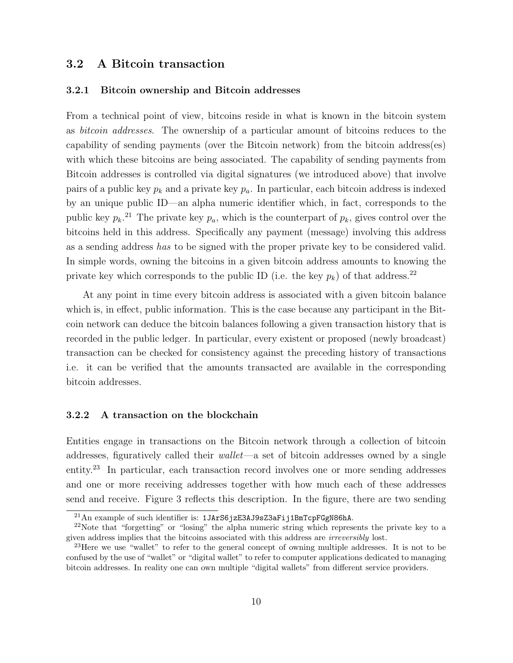## 3.2 A Bitcoin transaction

#### <span id="page-10-0"></span>3.2.1 Bitcoin ownership and Bitcoin addresses

From a technical point of view, bitcoins reside in what is known in the bitcoin system as bitcoin addresses. The ownership of a particular amount of bitcoins reduces to the capability of sending payments (over the Bitcoin network) from the bitcoin address(es) with which these bitcoins are being associated. The capability of sending payments from Bitcoin addresses is controlled via digital signatures (we introduced above) that involve pairs of a public key  $p_k$  and a private key  $p_a$ . In particular, each bitcoin address is indexed by an unique public ID—an alpha numeric identifier which, in fact, corresponds to the public key  $p_k$ <sup>[21](#page-10-1)</sup>. The private key  $p_a$ , which is the counterpart of  $p_k$ , gives control over the bitcoins held in this address. Specifically any payment (message) involving this address as a sending address has to be signed with the proper private key to be considered valid. In simple words, owning the bitcoins in a given bitcoin address amounts to knowing the private key which corresponds to the public ID (i.e. the key  $p_k$ ) of that address.<sup>[22](#page-10-2)</sup>

At any point in time every bitcoin address is associated with a given bitcoin balance which is, in effect, public information. This is the case because any participant in the Bitcoin network can deduce the bitcoin balances following a given transaction history that is recorded in the public ledger. In particular, every existent or proposed (newly broadcast) transaction can be checked for consistency against the preceding history of transactions i.e. it can be verified that the amounts transacted are available in the corresponding bitcoin addresses.

#### <span id="page-10-4"></span>3.2.2 A transaction on the blockchain

Entities engage in transactions on the Bitcoin network through a collection of bitcoin addresses, figuratively called their wallet—a set of bitcoin addresses owned by a single entity.[23](#page-10-3) In particular, each transaction record involves one or more sending addresses and one or more receiving addresses together with how much each of these addresses send and receive. Figure [3](#page-11-0) reflects this description. In the figure, there are two sending

<span id="page-10-2"></span><span id="page-10-1"></span> $^{21}\mathrm{An}$  example of such identifier is:  $1\text{JArS6jzE3AJ9sZ3aFij1BmTcpFGgN86hA.}$ 

<sup>&</sup>lt;sup>22</sup>Note that "forgetting" or "losing" the alpha numeric string which represents the private key to a given address implies that the bitcoins associated with this address are irreversibly lost.

<span id="page-10-3"></span><sup>&</sup>lt;sup>23</sup>Here we use "wallet" to refer to the general concept of owning multiple addresses. It is not to be confused by the use of "wallet" or "digital wallet" to refer to computer applications dedicated to managing bitcoin addresses. In reality one can own multiple "digital wallets" from different service providers.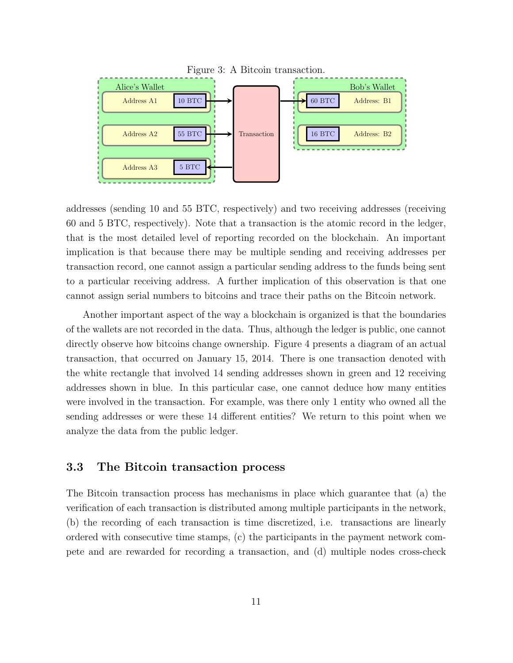<span id="page-11-0"></span>

addresses (sending 10 and 55 BTC, respectively) and two receiving addresses (receiving 60 and 5 BTC, respectively). Note that a transaction is the atomic record in the ledger, that is the most detailed level of reporting recorded on the blockchain. An important implication is that because there may be multiple sending and receiving addresses per transaction record, one cannot assign a particular sending address to the funds being sent to a particular receiving address. A further implication of this observation is that one cannot assign serial numbers to bitcoins and trace their paths on the Bitcoin network.

Another important aspect of the way a blockchain is organized is that the boundaries of the wallets are not recorded in the data. Thus, although the ledger is public, one cannot directly observe how bitcoins change ownership. Figure [4](#page-12-0) presents a diagram of an actual transaction, that occurred on January 15, 2014. There is one transaction denoted with the white rectangle that involved 14 sending addresses shown in green and 12 receiving addresses shown in blue. In this particular case, one cannot deduce how many entities were involved in the transaction. For example, was there only 1 entity who owned all the sending addresses or were these 14 different entities? We return to this point when we analyze the data from the public ledger.

## 3.3 The Bitcoin transaction process

The Bitcoin transaction process has mechanisms in place which guarantee that (a) the verification of each transaction is distributed among multiple participants in the network, (b) the recording of each transaction is time discretized, i.e. transactions are linearly ordered with consecutive time stamps, (c) the participants in the payment network compete and are rewarded for recording a transaction, and (d) multiple nodes cross-check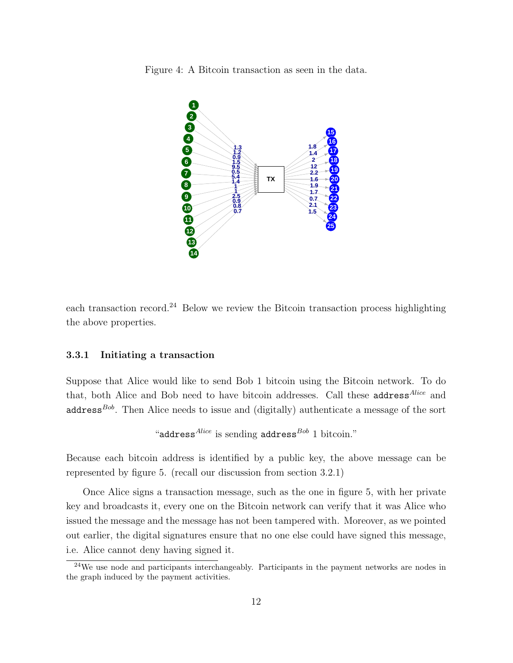Figure 4: A Bitcoin transaction as seen in the data.

<span id="page-12-0"></span>

each transaction record.<sup>[24](#page-12-1)</sup> Below we review the Bitcoin transaction process highlighting the above properties.

#### 3.3.1 Initiating a transaction

Suppose that Alice would like to send Bob 1 bitcoin using the Bitcoin network. To do that, both Alice and Bob need to have bitcoin addresses. Call these address<sup>Alice</sup> and  $\mathbf{address}^{Bob}$ . Then Alice needs to issue and (digitally) authenticate a message of the sort

```
"address<sup>Alice</sup> is sending address<sup>Bob</sup> 1 bitcoin."
```
Because each bitcoin address is identified by a public key, the above message can be represented by figure [5.](#page-13-0) (recall our discussion from section [3.2.1\)](#page-10-0)

Once Alice signs a transaction message, such as the one in figure [5,](#page-13-0) with her private key and broadcasts it, every one on the Bitcoin network can verify that it was Alice who issued the message and the message has not been tampered with. Moreover, as we pointed out earlier, the digital signatures ensure that no one else could have signed this message, i.e. Alice cannot deny having signed it.

<span id="page-12-1"></span><sup>24</sup>We use node and participants interchangeably. Participants in the payment networks are nodes in the graph induced by the payment activities.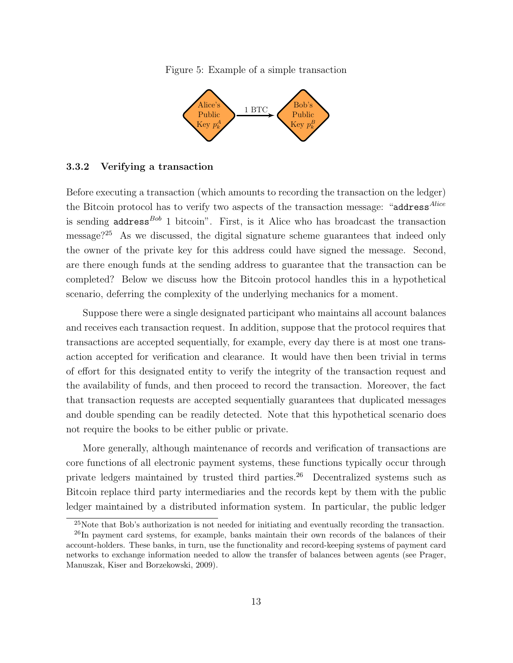Figure 5: Example of a simple transaction

<span id="page-13-0"></span>

#### 3.3.2 Verifying a transaction

Before executing a transaction (which amounts to recording the transaction on the ledger) the Bitcoin protocol has to verify two aspects of the transaction message: "address<sup>Alice</sup> is sending  $\alpha$ ddress<sup>Bob</sup> 1 bitcoin". First, is it Alice who has broadcast the transaction message?[25](#page-13-1) As we discussed, the digital signature scheme guarantees that indeed only the owner of the private key for this address could have signed the message. Second, are there enough funds at the sending address to guarantee that the transaction can be completed? Below we discuss how the Bitcoin protocol handles this in a hypothetical scenario, deferring the complexity of the underlying mechanics for a moment.

Suppose there were a single designated participant who maintains all account balances and receives each transaction request. In addition, suppose that the protocol requires that transactions are accepted sequentially, for example, every day there is at most one transaction accepted for verification and clearance. It would have then been trivial in terms of effort for this designated entity to verify the integrity of the transaction request and the availability of funds, and then proceed to record the transaction. Moreover, the fact that transaction requests are accepted sequentially guarantees that duplicated messages and double spending can be readily detected. Note that this hypothetical scenario does not require the books to be either public or private.

More generally, although maintenance of records and verification of transactions are core functions of all electronic payment systems, these functions typically occur through private ledgers maintained by trusted third parties.[26](#page-13-2) Decentralized systems such as Bitcoin replace third party intermediaries and the records kept by them with the public ledger maintained by a distributed information system. In particular, the public ledger

<span id="page-13-2"></span><span id="page-13-1"></span><sup>25</sup>Note that Bob's authorization is not needed for initiating and eventually recording the transaction.

<sup>&</sup>lt;sup>26</sup>In payment card systems, for example, banks maintain their own records of the balances of their account-holders. These banks, in turn, use the functionality and record-keeping systems of payment card networks to exchange information needed to allow the transfer of balances between agents (see [Prager,](#page-37-1) [Manuszak, Kiser and Borzekowski,](#page-37-1) [2009\)](#page-37-1).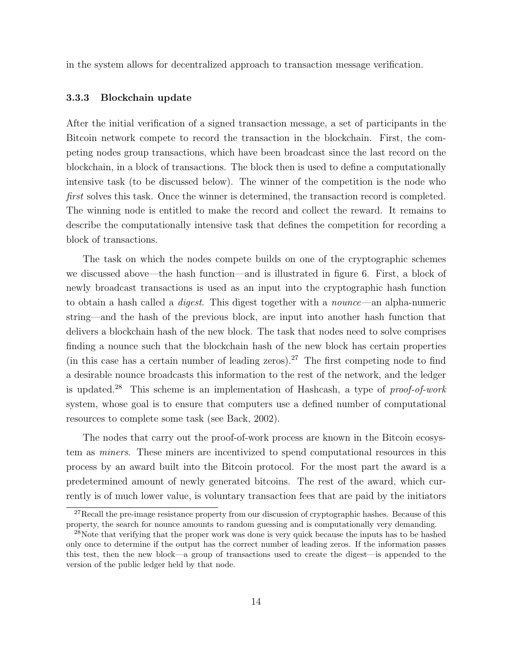in the system allows for decentralized approach to transaction message verification.

#### 3.3.3 Blockchain update

After the initial verification of a signed transaction message, a set of participants in the Bitcoin network compete to record the transaction in the blockchain. First, the competing nodes group transactions, which have been broadcast since the last record on the blockchain, in a block of transactions. The block then is used to define a computationally intensive task (to be discussed below). The winner of the competition is the node who first solves this task. Once the winner is determined, the transaction record is completed. The winning node is entitled to make the record and collect the reward. It remains to describe the computationally intensive task that defines the competition for recording a block of transactions.

The task on which the nodes compete builds on one of the cryptographic schemes we discussed above—the hash function—and is illustrated in figure [6.](#page-15-1) First, a block of newly broadcast transactions is used as an input into the cryptographic hash function to obtain a hash called a digest. This digest together with a nounce—an alpha-numeric string—and the hash of the previous block, are input into another hash function that delivers a blockchain hash of the new block. The task that nodes need to solve comprises finding a nounce such that the blockchain hash of the new block has certain properties (in this case has a certain number of leading zeros).<sup>[27](#page-14-0)</sup> The first competing node to find a desirable nounce broadcasts this information to the rest of the network, and the ledger is updated.<sup>[28](#page-14-1)</sup> This scheme is an implementation of Hashcash, a type of *proof-of-work* system, whose goal is to ensure that computers use a defined number of computational resources to complete some task (see [Back,](#page-36-4) [2002\)](#page-36-4).

The nodes that carry out the proof-of-work process are known in the Bitcoin ecosystem as miners. These miners are incentivized to spend computational resources in this process by an award built into the Bitcoin protocol. For the most part the award is a predetermined amount of newly generated bitcoins. The rest of the award, which currently is of much lower value, is voluntary transaction fees that are paid by the initiators

<span id="page-14-0"></span><sup>27</sup>Recall the pre-image resistance property from our discussion of cryptographic hashes. Because of this property, the search for nounce amounts to random guessing and is computationally very demanding.

<span id="page-14-1"></span><sup>&</sup>lt;sup>28</sup>Note that verifying that the proper work was done is very quick because the inputs has to be hashed only once to determine if the output has the correct number of leading zeros. If the information passes this test, then the new block—a group of transactions used to create the digest—is appended to the version of the public ledger held by that node.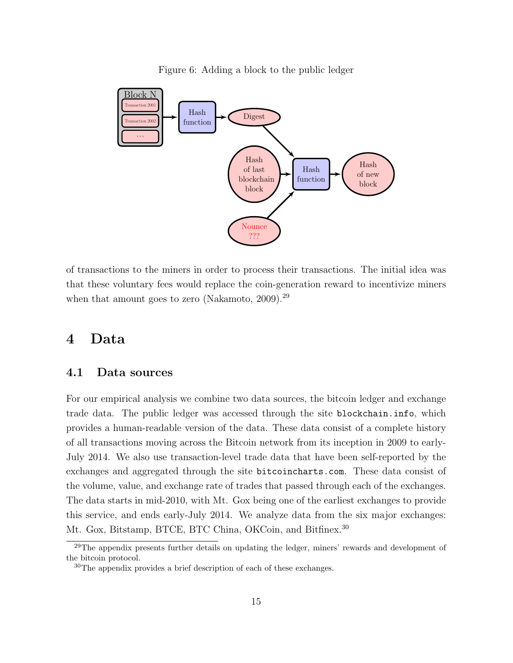

<span id="page-15-1"></span>Figure 6: Adding a block to the public ledger

of transactions to the miners in order to process their transactions. The initial idea was that these voluntary fees would replace the coin-generation reward to incentivize miners when that amount goes to zero [\(Nakamoto,](#page-37-6)  $2009$ ).<sup>[29](#page-15-2)</sup>

## <span id="page-15-0"></span>4 Data

#### 4.1 Data sources

For our empirical analysis we combine two data sources, the bitcoin ledger and exchange trade data. The public ledger was accessed through the site <blockchain.info>, which provides a human-readable version of the data. These data consist of a complete history of all transactions moving across the Bitcoin network from its inception in 2009 to early-July 2014. We also use transaction-level trade data that have been self-reported by the exchanges and aggregated through the site <bitcoincharts.com>. These data consist of the volume, value, and exchange rate of trades that passed through each of the exchanges. The data starts in mid-2010, with Mt. Gox being one of the earliest exchanges to provide this service, and ends early-July 2014. We analyze data from the six major exchanges: Mt. Gox, Bitstamp, BTCE, BTC China, OKCoin, and Bitfinex.<sup>[30](#page-15-3)</sup>

<span id="page-15-2"></span> $^{29}$ The appendix presents further details on updating the ledger, miners' rewards and development of the bitcoin protocol.

<span id="page-15-3"></span><sup>30</sup>The appendix provides a brief description of each of these exchanges.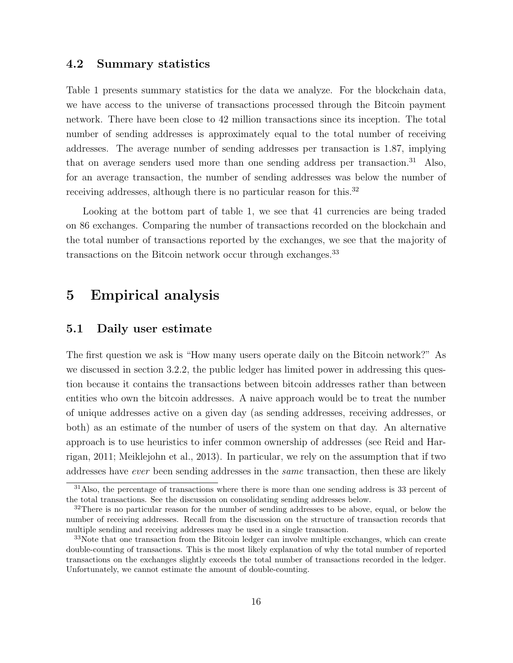## 4.2 Summary statistics

Table [1](#page-17-0) presents summary statistics for the data we analyze. For the blockchain data, we have access to the universe of transactions processed through the Bitcoin payment network. There have been close to 42 million transactions since its inception. The total number of sending addresses is approximately equal to the total number of receiving addresses. The average number of sending addresses per transaction is 1.87, implying that on average senders used more than one sending address per transaction.<sup>[31](#page-16-0)</sup> Also, for an average transaction, the number of sending addresses was below the number of receiving addresses, although there is no particular reason for this.<sup>[32](#page-16-1)</sup>

Looking at the bottom part of table [1,](#page-17-0) we see that 41 currencies are being traded on 86 exchanges. Comparing the number of transactions recorded on the blockchain and the total number of transactions reported by the exchanges, we see that the majority of transactions on the Bitcoin network occur through exchanges.<sup>[33](#page-16-2)</sup>

# 5 Empirical analysis

### 5.1 Daily user estimate

The first question we ask is "How many users operate daily on the Bitcoin network?" As we discussed in section [3.2.2,](#page-10-4) the public ledger has limited power in addressing this question because it contains the transactions between bitcoin addresses rather than between entities who own the bitcoin addresses. A naive approach would be to treat the number of unique addresses active on a given day (as sending addresses, receiving addresses, or both) as an estimate of the number of users of the system on that day. An alternative approach is to use heuristics to infer common ownership of addresses (see [Reid and Har](#page-38-1)[rigan,](#page-38-1) [2011;](#page-38-1) [Meiklejohn et al.,](#page-37-7) [2013\)](#page-37-7). In particular, we rely on the assumption that if two addresses have *ever* been sending addresses in the *same* transaction, then these are likely

<span id="page-16-0"></span> $31$ Also, the percentage of transactions where there is more than one sending address is 33 percent of the total transactions. See the discussion on consolidating sending addresses below.

<span id="page-16-1"></span> $32$ There is no particular reason for the number of sending addresses to be above, equal, or below the number of receiving addresses. Recall from the discussion on the structure of transaction records that multiple sending and receiving addresses may be used in a single transaction.

<span id="page-16-2"></span><sup>&</sup>lt;sup>33</sup>Note that one transaction from the Bitcoin ledger can involve multiple exchanges, which can create double-counting of transactions. This is the most likely explanation of why the total number of reported transactions on the exchanges slightly exceeds the total number of transactions recorded in the ledger. Unfortunately, we cannot estimate the amount of double-counting.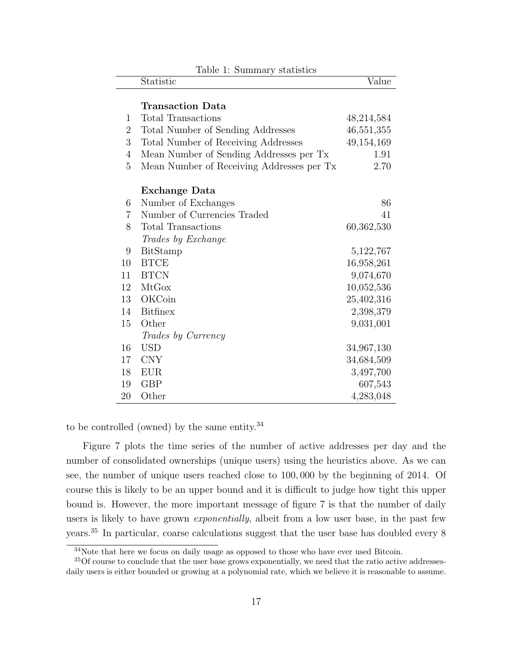<span id="page-17-0"></span>

| Table 1: Summary statistics |                                           |            |
|-----------------------------|-------------------------------------------|------------|
|                             | Statistic                                 | Value      |
|                             | <b>Transaction Data</b>                   |            |
| 1                           | <b>Total Transactions</b>                 | 48,214,584 |
| $\overline{2}$              | Total Number of Sending Addresses         | 46,551,355 |
| 3                           | Total Number of Receiving Addresses       | 49,154,169 |
| $\overline{4}$              | Mean Number of Sending Addresses per Tx   | 1.91       |
| $\overline{5}$              | Mean Number of Receiving Addresses per Tx | 2.70       |
|                             |                                           |            |
|                             | <b>Exchange Data</b>                      |            |
| 6                           | Number of Exchanges                       | 86         |
| $\overline{7}$              | Number of Currencies Traded               | 41         |
| 8                           | <b>Total Transactions</b>                 | 60,362,530 |
|                             | <i>Trades by Exchange</i>                 |            |
| 9                           | BitStamp                                  | 5,122,767  |
| 10                          | <b>BTCE</b>                               | 16,958,261 |
| 11                          | <b>BTCN</b>                               | 9,074,670  |
| 12                          | <b>MtGox</b>                              | 10,052,536 |
| 13                          | OKCoin                                    | 25,402,316 |
| 14                          | <b>Bitfinex</b>                           | 2,398,379  |
| 15                          | Other                                     | 9,031,001  |
|                             | <i>Trades by Currency</i>                 |            |
| 16                          | <b>USD</b>                                | 34,967,130 |
| 17                          | <b>CNY</b>                                | 34,684,509 |
| 18                          | <b>EUR</b>                                | 3,497,700  |
| 19                          | <b>GBP</b>                                | 607,543    |
| 20                          | Other                                     | 4,283,048  |

to be controlled (owned) by the same entity.[34](#page-17-1)

Figure [7](#page-18-1) plots the time series of the number of active addresses per day and the number of consolidated ownerships (unique users) using the heuristics above. As we can see, the number of unique users reached close to 100, 000 by the beginning of 2014. Of course this is likely to be an upper bound and it is difficult to judge how tight this upper bound is. However, the more important message of figure [7](#page-18-1) is that the number of daily users is likely to have grown *exponentially*, albeit from a low user base, in the past few years.[35](#page-17-2) In particular, coarse calculations suggest that the user base has doubled every 8

<span id="page-17-2"></span><span id="page-17-1"></span> $34$ Note that here we focus on daily usage as opposed to those who have ever used Bitcoin.

<sup>35</sup>Of course to conclude that the user base grows exponentially, we need that the ratio active addressesdaily users is either bounded or growing at a polynomial rate, which we believe it is reasonable to assume.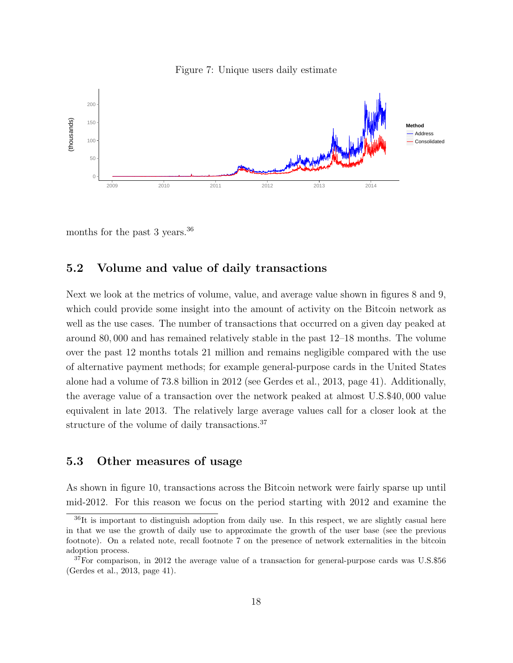<span id="page-18-1"></span>



months for the past 3 years.<sup>[36](#page-18-2)</sup>

## 5.2 Volume and value of daily transactions

Next we look at the metrics of volume, value, and average value shown in figures [8](#page-19-0) and [9,](#page-19-1) which could provide some insight into the amount of activity on the Bitcoin network as well as the use cases. The number of transactions that occurred on a given day peaked at around 80, 000 and has remained relatively stable in the past 12–18 months. The volume over the past 12 months totals 21 million and remains negligible compared with the use of alternative payment methods; for example general-purpose cards in the United States alone had a volume of 73.8 billion in 2012 (see [Gerdes et al.,](#page-36-5) [2013,](#page-36-5) page 41). Additionally, the average value of a transaction over the network peaked at almost U.S.\$40, 000 value equivalent in late 2013. The relatively large average values call for a closer look at the structure of the volume of daily transactions.<sup>[37](#page-18-3)</sup>

### <span id="page-18-0"></span>5.3 Other measures of usage

As shown in figure [10,](#page-20-0) transactions across the Bitcoin network were fairly sparse up until mid-2012. For this reason we focus on the period starting with 2012 and examine the

<span id="page-18-2"></span> $36$ It is important to distinguish adoption from daily use. In this respect, we are slightly casual here in that we use the growth of daily use to approximate the growth of the user base (see the previous footnote). On a related note, recall footnote [7](#page-3-1) on the presence of network externalities in the bitcoin adoption process.

<span id="page-18-3"></span><sup>&</sup>lt;sup>37</sup>For comparison, in 2012 the average value of a transaction for general-purpose cards was U.S.\$56 [\(Gerdes et al.,](#page-36-5) [2013,](#page-36-5) page 41).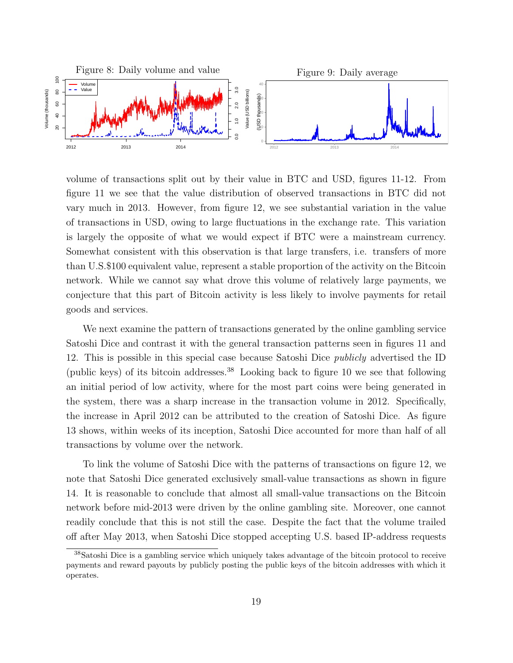<span id="page-19-0"></span>

<span id="page-19-1"></span>volume of transactions split out by their value in BTC and USD, figures [11-](#page-20-1)[12.](#page-20-2) From figure [11](#page-20-1) we see that the value distribution of observed transactions in BTC did not vary much in 2013. However, from figure [12,](#page-20-2) we see substantial variation in the value of transactions in USD, owing to large fluctuations in the exchange rate. This variation is largely the opposite of what we would expect if BTC were a mainstream currency. Somewhat consistent with this observation is that large transfers, i.e. transfers of more than U.S.\$100 equivalent value, represent a stable proportion of the activity on the Bitcoin network. While we cannot say what drove this volume of relatively large payments, we conjecture that this part of Bitcoin activity is less likely to involve payments for retail goods and services.

We next examine the pattern of transactions generated by the online gambling service Satoshi Dice and contrast it with the general transaction patterns seen in figures [11](#page-20-1) and [12.](#page-20-2) This is possible in this special case because Satoshi Dice publicly advertised the ID (public keys) of its bitcoin addresses.[38](#page-19-2) Looking back to figure [10](#page-20-0) we see that following an initial period of low activity, where for the most part coins were being generated in the system, there was a sharp increase in the transaction volume in 2012. Specifically, the increase in April 2012 can be attributed to the creation of Satoshi Dice. As figure [13](#page-20-3) shows, within weeks of its inception, Satoshi Dice accounted for more than half of all transactions by volume over the network.

To link the volume of Satoshi Dice with the patterns of transactions on figure [12,](#page-20-2) we note that Satoshi Dice generated exclusively small-value transactions as shown in figure [14.](#page-20-4) It is reasonable to conclude that almost all small-value transactions on the Bitcoin network before mid-2013 were driven by the online gambling site. Moreover, one cannot readily conclude that this is not still the case. Despite the fact that the volume trailed off after May 2013, when Satoshi Dice stopped accepting U.S. based IP-address requests

<span id="page-19-2"></span><sup>38</sup>Satoshi Dice is a gambling service which uniquely takes advantage of the bitcoin protocol to receive payments and reward payouts by publicly posting the public keys of the bitcoin addresses with which it operates.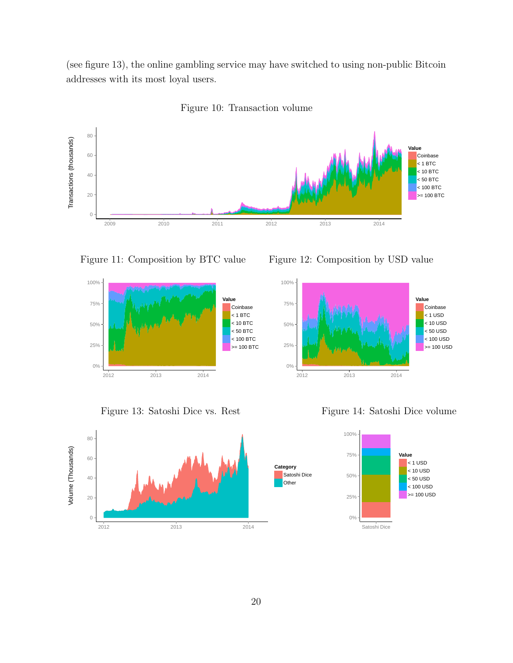(see figure [13\)](#page-20-3), the online gambling service may have switched to using non-public Bitcoin addresses with its most loyal users.



<span id="page-20-0"></span>Figure 10: Transaction volume



<span id="page-20-1"></span>

Figure 12: Composition by USD value

<span id="page-20-2"></span>

<span id="page-20-3"></span>Figure 13: Satoshi Dice vs. Rest

 $\overline{0}$ 

20

40

Volume (Thousands)

Volume (Thousands)

60

80





<span id="page-20-4"></span>Figure 14: Satoshi Dice volume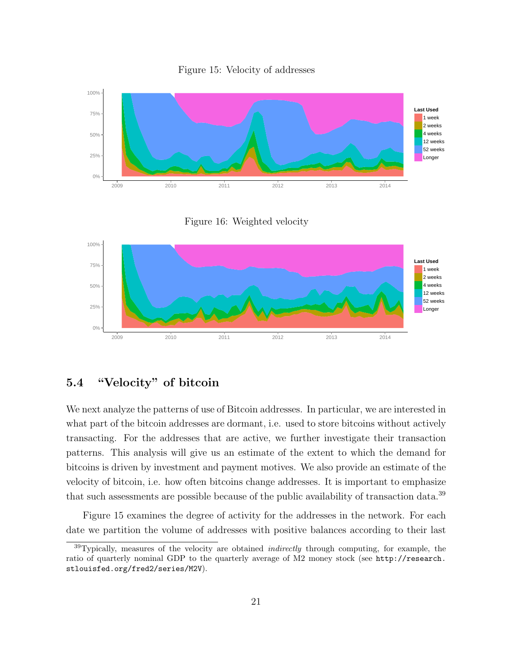<span id="page-21-1"></span>



<span id="page-21-2"></span>Figure 16: Weighted velocity



## 5.4 "Velocity" of bitcoin

We next analyze the patterns of use of Bitcoin addresses. In particular, we are interested in what part of the bitcoin addresses are dormant, i.e. used to store bitcoins without actively transacting. For the addresses that are active, we further investigate their transaction patterns. This analysis will give us an estimate of the extent to which the demand for bitcoins is driven by investment and payment motives. We also provide an estimate of the velocity of bitcoin, i.e. how often bitcoins change addresses. It is important to emphasize that such assessments are possible because of the public availability of transaction data.[39](#page-21-0)

Figure [15](#page-21-1) examines the degree of activity for the addresses in the network. For each date we partition the volume of addresses with positive balances according to their last

<span id="page-21-0"></span> $39$ Typically, measures of the velocity are obtained *indirectly* through computing, for example, the ratio of quarterly nominal GDP to the quarterly average of M2 money stock (see [http://research.](http://research.stlouisfed.org/fred2/series/M2V) [stlouisfed.org/fred2/series/M2V](http://research.stlouisfed.org/fred2/series/M2V)).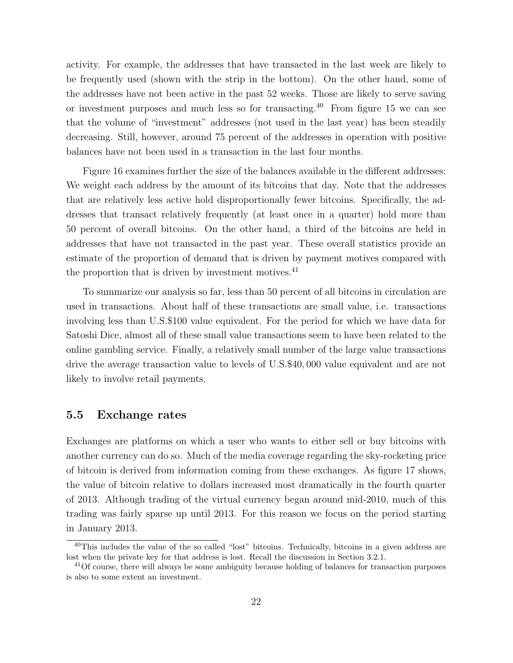activity. For example, the addresses that have transacted in the last week are likely to be frequently used (shown with the strip in the bottom). On the other hand, some of the addresses have not been active in the past 52 weeks. Those are likely to serve saving or investment purposes and much less so for transacting.<sup>[40](#page-22-0)</sup> From figure [15](#page-21-1) we can see that the volume of "investment" addresses (not used in the last year) has been steadily decreasing. Still, however, around 75 percent of the addresses in operation with positive balances have not been used in a transaction in the last four months.

Figure [16](#page-21-2) examines further the size of the balances available in the different addresses: We weight each address by the amount of its bitcoins that day. Note that the addresses that are relatively less active hold disproportionally fewer bitcoins. Specifically, the addresses that transact relatively frequently (at least once in a quarter) hold more than 50 percent of overall bitcoins. On the other hand, a third of the bitcoins are held in addresses that have not transacted in the past year. These overall statistics provide an estimate of the proportion of demand that is driven by payment motives compared with the proportion that is driven by investment motives. $41$ 

To summarize our analysis so far, less than 50 percent of all bitcoins in circulation are used in transactions. About half of these transactions are small value, i.e. transactions involving less than U.S.\$100 value equivalent. For the period for which we have data for Satoshi Dice, almost all of these small value transactions seem to have been related to the online gambling service. Finally, a relatively small number of the large value transactions drive the average transaction value to levels of U.S.\$40, 000 value equivalent and are not likely to involve retail payments.

## 5.5 Exchange rates

Exchanges are platforms on which a user who wants to either sell or buy bitcoins with another currency can do so. Much of the media coverage regarding the sky-rocketing price of bitcoin is derived from information coming from these exchanges. As figure [17](#page-23-0) shows, the value of bitcoin relative to dollars increased most dramatically in the fourth quarter of 2013. Although trading of the virtual currency began around mid-2010, much of this trading was fairly sparse up until 2013. For this reason we focus on the period starting in January 2013.

<span id="page-22-0"></span><sup>&</sup>lt;sup>40</sup>This includes the value of the so called "lost" bitcoins. Technically, bitcoins in a given address are lost when the private key for that address is lost. Recall the discussion in Section [3.2.1.](#page-10-0)

<span id="page-22-1"></span><sup>&</sup>lt;sup>41</sup>Of course, there will always be some ambiguity because holding of balances for transaction purposes is also to some extent an investment.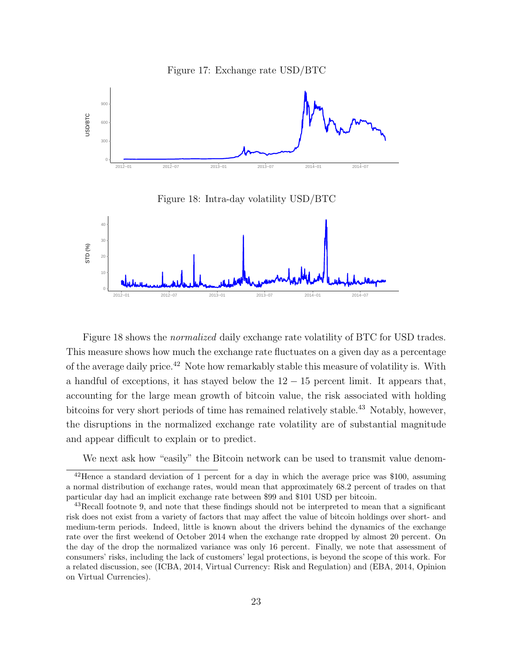<span id="page-23-0"></span>



<span id="page-23-1"></span>Figure 18: Intra-day volatility USD/BTC



Figure [18](#page-23-1) shows the normalized daily exchange rate volatility of BTC for USD trades. This measure shows how much the exchange rate fluctuates on a given day as a percentage of the average daily price.[42](#page-23-2) Note how remarkably stable this measure of volatility is. With a handful of exceptions, it has stayed below the  $12 - 15$  percent limit. It appears that, accounting for the large mean growth of bitcoin value, the risk associated with holding bitcoins for very short periods of time has remained relatively stable.[43](#page-23-3) Notably, however, the disruptions in the normalized exchange rate volatility are of substantial magnitude and appear difficult to explain or to predict.

<span id="page-23-2"></span>We next ask how "easily" the Bitcoin network can be used to transmit value denom-

<sup>&</sup>lt;sup>42</sup>Hence a standard deviation of 1 percent for a day in which the average price was  $$100$ , assuming a normal distribution of exchange rates, would mean that approximately 68.2 percent of trades on that particular day had an implicit exchange rate between \$99 and \$101 USD per bitcoin.

<span id="page-23-3"></span><sup>&</sup>lt;sup>43</sup>Recall footnote [9,](#page-4-0) and note that these findings should not be interpreted to mean that a significant risk does not exist from a variety of factors that may affect the value of bitcoin holdings over short- and medium-term periods. Indeed, little is known about the drivers behind the dynamics of the exchange rate over the first weekend of October 2014 when the exchange rate dropped by almost 20 percent. On the day of the drop the normalized variance was only 16 percent. Finally, we note that assessment of consumers' risks, including the lack of customers' legal protections, is beyond the scope of this work. For a related discussion, see [\(ICBA,](#page-37-0) [2014,](#page-37-0) Virtual Currency: Risk and Regulation) and [\(EBA,](#page-36-2) [2014,](#page-36-2) Opinion on Virtual Currencies).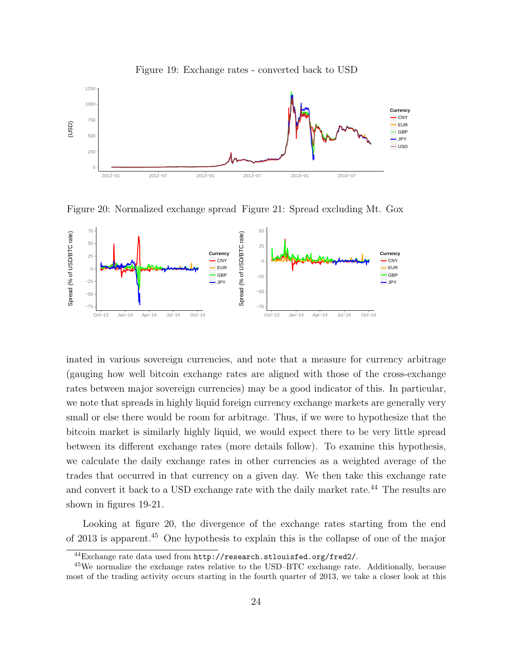<span id="page-24-2"></span><span id="page-24-1"></span>



<span id="page-24-3"></span>Figure 20: Normalized exchange spread Figure 21: Spread excluding Mt. Gox



inated in various sovereign currencies, and note that a measure for currency arbitrage (gauging how well bitcoin exchange rates are aligned with those of the cross-exchange rates between major sovereign currencies) may be a good indicator of this. In particular, we note that spreads in highly liquid foreign currency exchange markets are generally very small or else there would be room for arbitrage. Thus, if we were to hypothesize that the bitcoin market is similarly highly liquid, we would expect there to be very little spread between its different exchange rates (more details follow). To examine this hypothesis, we calculate the daily exchange rates in other currencies as a weighted average of the trades that occurred in that currency on a given day. We then take this exchange rate and convert it back to a USD exchange rate with the daily market rate.<sup>[44](#page-24-0)</sup> The results are shown in figures [19-](#page-24-1)[21.](#page-24-2)

Looking at figure [20,](#page-24-3) the divergence of the exchange rates starting from the end of 2013 is apparent.[45](#page-24-4) One hypothesis to explain this is the collapse of one of the major

<span id="page-24-4"></span><span id="page-24-0"></span><sup>44</sup>Exchange rate data used from <http://research.stlouisfed.org/fred2/>.

<sup>45</sup>We normalize the exchange rates relative to the USD–BTC exchange rate. Additionally, because most of the trading activity occurs starting in the fourth quarter of 2013, we take a closer look at this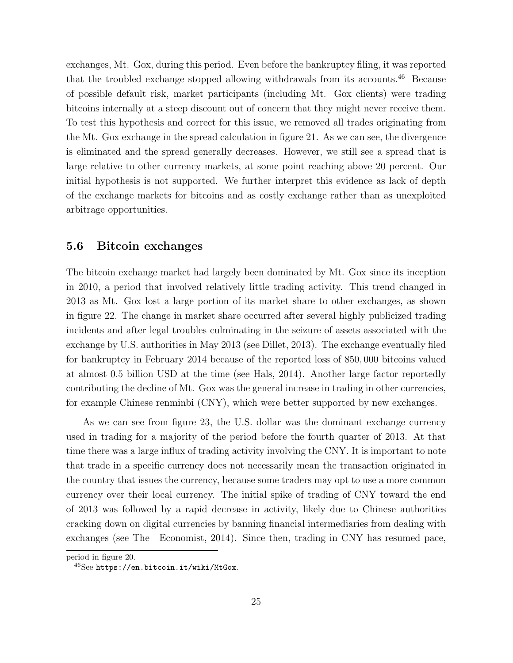exchanges, Mt. Gox, during this period. Even before the bankruptcy filing, it was reported that the troubled exchange stopped allowing withdrawals from its accounts.[46](#page-25-0) Because of possible default risk, market participants (including Mt. Gox clients) were trading bitcoins internally at a steep discount out of concern that they might never receive them. To test this hypothesis and correct for this issue, we removed all trades originating from the Mt. Gox exchange in the spread calculation in figure [21.](#page-24-2) As we can see, the divergence is eliminated and the spread generally decreases. However, we still see a spread that is large relative to other currency markets, at some point reaching above 20 percent. Our initial hypothesis is not supported. We further interpret this evidence as lack of depth of the exchange markets for bitcoins and as costly exchange rather than as unexploited arbitrage opportunities.

### 5.6 Bitcoin exchanges

The bitcoin exchange market had largely been dominated by Mt. Gox since its inception in 2010, a period that involved relatively little trading activity. This trend changed in 2013 as Mt. Gox lost a large portion of its market share to other exchanges, as shown in figure [22.](#page-26-0) The change in market share occurred after several highly publicized trading incidents and after legal troubles culminating in the seizure of assets associated with the exchange by U.S. authorities in May 2013 (see [Dillet,](#page-36-6) [2013\)](#page-36-6). The exchange eventually filed for bankruptcy in February 2014 because of the reported loss of 850, 000 bitcoins valued at almost 0.5 billion USD at the time (see [Hals,](#page-37-8) [2014\)](#page-37-8). Another large factor reportedly contributing the decline of Mt. Gox was the general increase in trading in other currencies, for example Chinese renminbi (CNY), which were better supported by new exchanges.

As we can see from figure [23,](#page-26-1) the U.S. dollar was the dominant exchange currency used in trading for a majority of the period before the fourth quarter of 2013. At that time there was a large influx of trading activity involving the CNY. It is important to note that trade in a specific currency does not necessarily mean the transaction originated in the country that issues the currency, because some traders may opt to use a more common currency over their local currency. The initial spike of trading of CNY toward the end of 2013 was followed by a rapid decrease in activity, likely due to Chinese authorities cracking down on digital currencies by banning financial intermediaries from dealing with exchanges (see [The Economist,](#page-38-2) [2014\)](#page-38-2). Since then, trading in CNY has resumed pace,

period in figure [20.](#page-24-3)

<span id="page-25-0"></span> $^{46}$ See <https://en.bitcoin.it/wiki/MtGox>.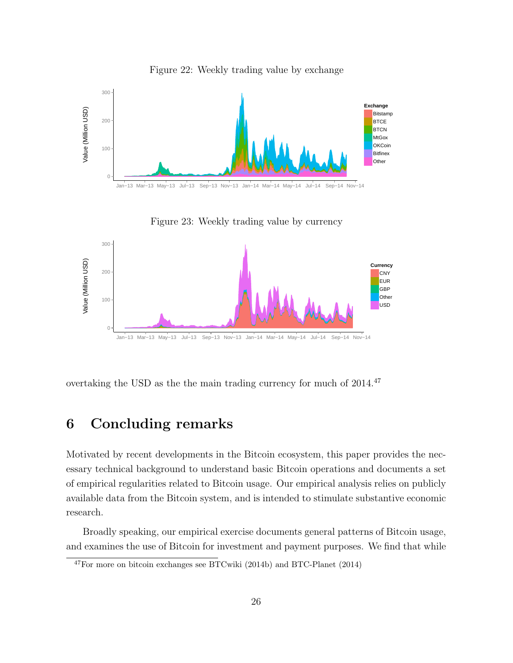

<span id="page-26-1"></span><span id="page-26-0"></span>Figure 22: Weekly trading value by exchange

overtaking the USD as the the main trading currency for much of 2014.<sup>[47](#page-26-2)</sup>

# 6 Concluding remarks

Motivated by recent developments in the Bitcoin ecosystem, this paper provides the necessary technical background to understand basic Bitcoin operations and documents a set of empirical regularities related to Bitcoin usage. Our empirical analysis relies on publicly available data from the Bitcoin system, and is intended to stimulate substantive economic research.

Broadly speaking, our empirical exercise documents general patterns of Bitcoin usage, and examines the use of Bitcoin for investment and payment purposes. We find that while

<span id="page-26-2"></span> $^{47}\rm{For}$  more on bitcoin exchanges see [BTCwiki](#page-36-7) [\(2014b\)](#page-36-7) and [BTC-Planet](#page-36-8) [\(2014\)](#page-36-8)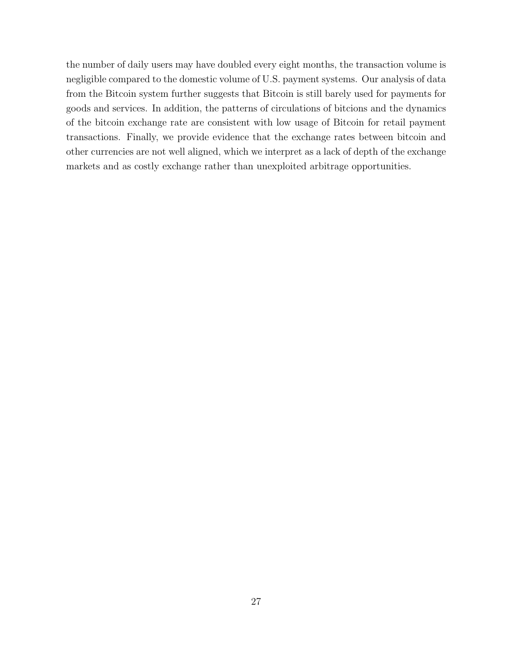the number of daily users may have doubled every eight months, the transaction volume is negligible compared to the domestic volume of U.S. payment systems. Our analysis of data from the Bitcoin system further suggests that Bitcoin is still barely used for payments for goods and services. In addition, the patterns of circulations of bitcions and the dynamics of the bitcoin exchange rate are consistent with low usage of Bitcoin for retail payment transactions. Finally, we provide evidence that the exchange rates between bitcoin and other currencies are not well aligned, which we interpret as a lack of depth of the exchange markets and as costly exchange rather than unexploited arbitrage opportunities.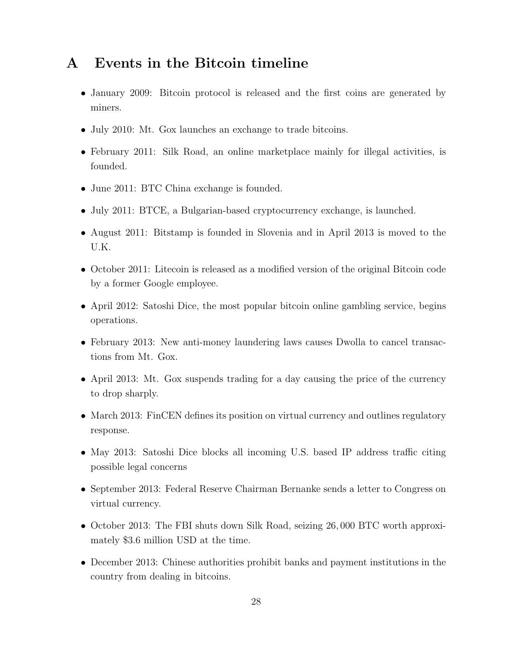# A Events in the Bitcoin timeline

- January 2009: Bitcoin protocol is released and the first coins are generated by miners.
- July 2010: Mt. Gox launches an exchange to trade bitcoins.
- February 2011: Silk Road, an online marketplace mainly for illegal activities, is founded.
- June 2011: BTC China exchange is founded.
- July 2011: BTCE, a Bulgarian-based cryptocurrency exchange, is launched.
- August 2011: Bitstamp is founded in Slovenia and in April 2013 is moved to the U.K.
- October 2011: Litecoin is released as a modified version of the original Bitcoin code by a former Google employee.
- April 2012: Satoshi Dice, the most popular bitcoin online gambling service, begins operations.
- February 2013: New anti-money laundering laws causes Dwolla to cancel transactions from Mt. Gox.
- April 2013: Mt. Gox suspends trading for a day causing the price of the currency to drop sharply.
- March 2013: FinCEN defines its position on virtual currency and outlines regulatory response.
- May 2013: Satoshi Dice blocks all incoming U.S. based IP address traffic citing possible legal concerns
- September 2013: Federal Reserve Chairman Bernanke sends a letter to Congress on virtual currency.
- October 2013: The FBI shuts down Silk Road, seizing 26, 000 BTC worth approximately \$3.6 million USD at the time.
- December 2013: Chinese authorities prohibit banks and payment institutions in the country from dealing in bitcoins.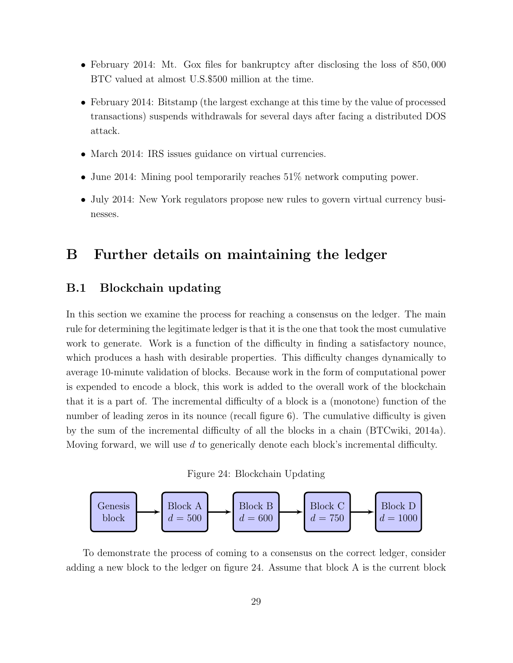- February 2014: Mt. Gox files for bankruptcy after disclosing the loss of 850,000 BTC valued at almost U.S.\$500 million at the time.
- February 2014: Bitstamp (the largest exchange at this time by the value of processed transactions) suspends withdrawals for several days after facing a distributed DOS attack.
- March 2014: IRS issues guidance on virtual currencies.
- June 2014: Mining pool temporarily reaches 51% network computing power.
- July 2014: New York regulators propose new rules to govern virtual currency businesses.

# <span id="page-29-0"></span>B Further details on maintaining the ledger

## B.1 Blockchain updating

In this section we examine the process for reaching a consensus on the ledger. The main rule for determining the legitimate ledger is that it is the one that took the most cumulative work to generate. Work is a function of the difficulty in finding a satisfactory nounce, which produces a hash with desirable properties. This difficulty changes dynamically to average 10-minute validation of blocks. Because work in the form of computational power is expended to encode a block, this work is added to the overall work of the blockchain that it is a part of. The incremental difficulty of a block is a (monotone) function of the number of leading zeros in its nounce (recall figure [6\)](#page-15-1). The cumulative difficulty is given by the sum of the incremental difficulty of all the blocks in a chain [\(BTCwiki,](#page-36-9) [2014a\)](#page-36-9). Moving forward, we will use d to generically denote each block's incremental difficulty.

<span id="page-29-1"></span>Figure 24: Blockchain Updating



To demonstrate the process of coming to a consensus on the correct ledger, consider adding a new block to the ledger on figure [24.](#page-29-1) Assume that block A is the current block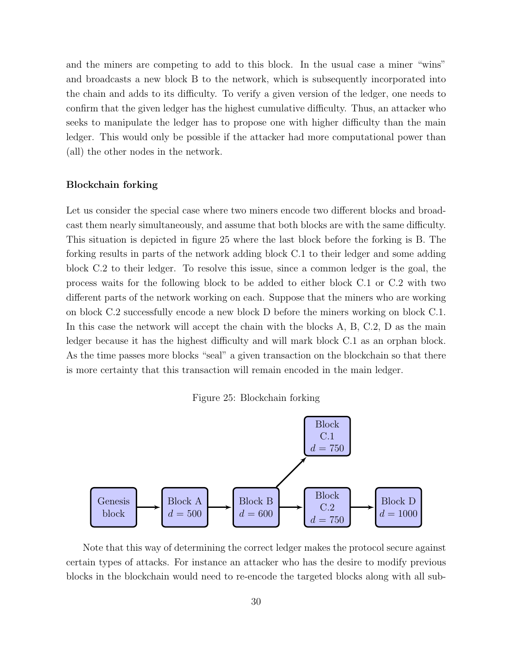and the miners are competing to add to this block. In the usual case a miner "wins" and broadcasts a new block B to the network, which is subsequently incorporated into the chain and adds to its difficulty. To verify a given version of the ledger, one needs to confirm that the given ledger has the highest cumulative difficulty. Thus, an attacker who seeks to manipulate the ledger has to propose one with higher difficulty than the main ledger. This would only be possible if the attacker had more computational power than (all) the other nodes in the network.

#### Blockchain forking

Let us consider the special case where two miners encode two different blocks and broadcast them nearly simultaneously, and assume that both blocks are with the same difficulty. This situation is depicted in figure [25](#page-30-0) where the last block before the forking is B. The forking results in parts of the network adding block C.1 to their ledger and some adding block C.2 to their ledger. To resolve this issue, since a common ledger is the goal, the process waits for the following block to be added to either block C.1 or C.2 with two different parts of the network working on each. Suppose that the miners who are working on block C.2 successfully encode a new block D before the miners working on block C.1. In this case the network will accept the chain with the blocks A, B, C.2, D as the main ledger because it has the highest difficulty and will mark block C.1 as an orphan block. As the time passes more blocks "seal" a given transaction on the blockchain so that there is more certainty that this transaction will remain encoded in the main ledger.

<span id="page-30-0"></span>Figure 25: Blockchain forking



Note that this way of determining the correct ledger makes the protocol secure against certain types of attacks. For instance an attacker who has the desire to modify previous blocks in the blockchain would need to re-encode the targeted blocks along with all sub-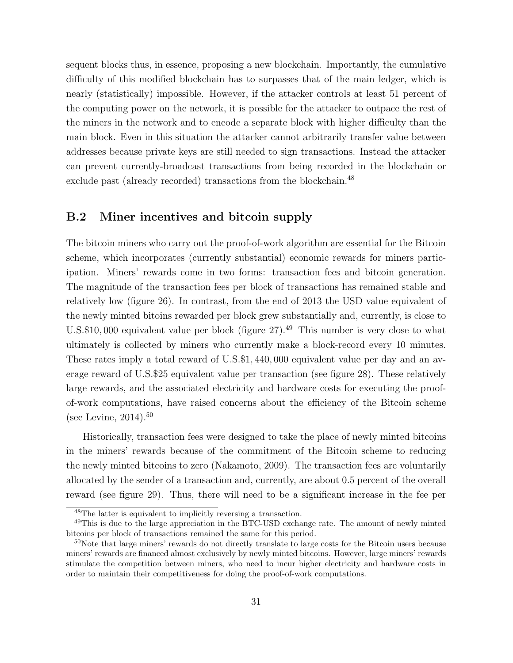sequent blocks thus, in essence, proposing a new blockchain. Importantly, the cumulative difficulty of this modified blockchain has to surpasses that of the main ledger, which is nearly (statistically) impossible. However, if the attacker controls at least 51 percent of the computing power on the network, it is possible for the attacker to outpace the rest of the miners in the network and to encode a separate block with higher difficulty than the main block. Even in this situation the attacker cannot arbitrarily transfer value between addresses because private keys are still needed to sign transactions. Instead the attacker can prevent currently-broadcast transactions from being recorded in the blockchain or exclude past (already recorded) transactions from the blockchain.<sup>[48](#page-31-1)</sup>

### <span id="page-31-0"></span>B.2 Miner incentives and bitcoin supply

The bitcoin miners who carry out the proof-of-work algorithm are essential for the Bitcoin scheme, which incorporates (currently substantial) economic rewards for miners participation. Miners' rewards come in two forms: transaction fees and bitcoin generation. The magnitude of the transaction fees per block of transactions has remained stable and relatively low (figure [26\)](#page-32-0). In contrast, from the end of 2013 the USD value equivalent of the newly minted bitoins rewarded per block grew substantially and, currently, is close to U.S.\$10,000 equivalent value per block (figure [27\)](#page-32-1).<sup>[49](#page-31-2)</sup> This number is very close to what ultimately is collected by miners who currently make a block-record every 10 minutes. These rates imply a total reward of U.S.\$1, 440, 000 equivalent value per day and an average reward of U.S.\$25 equivalent value per transaction (see figure [28\)](#page-32-2). These relatively large rewards, and the associated electricity and hardware costs for executing the proofof-work computations, have raised concerns about the efficiency of the Bitcoin scheme (see [Levine,](#page-37-2)  $2014$ ).<sup>[50](#page-31-3)</sup>

Historically, transaction fees were designed to take the place of newly minted bitcoins in the miners' rewards because of the commitment of the Bitcoin scheme to reducing the newly minted bitcoins to zero [\(Nakamoto,](#page-37-6) [2009\)](#page-37-6). The transaction fees are voluntarily allocated by the sender of a transaction and, currently, are about 0.5 percent of the overall reward (see figure [29\)](#page-32-3). Thus, there will need to be a significant increase in the fee per

<span id="page-31-2"></span><span id="page-31-1"></span><sup>48</sup>The latter is equivalent to implicitly reversing a transaction.

<sup>&</sup>lt;sup>49</sup>This is due to the large appreciation in the BTC-USD exchange rate. The amount of newly minted bitcoins per block of transactions remained the same for this period.

<span id="page-31-3"></span><sup>&</sup>lt;sup>50</sup>Note that large miners' rewards do not directly translate to large costs for the Bitcoin users because miners' rewards are financed almost exclusively by newly minted bitcoins. However, large miners' rewards stimulate the competition between miners, who need to incur higher electricity and hardware costs in order to maintain their competitiveness for doing the proof-of-work computations.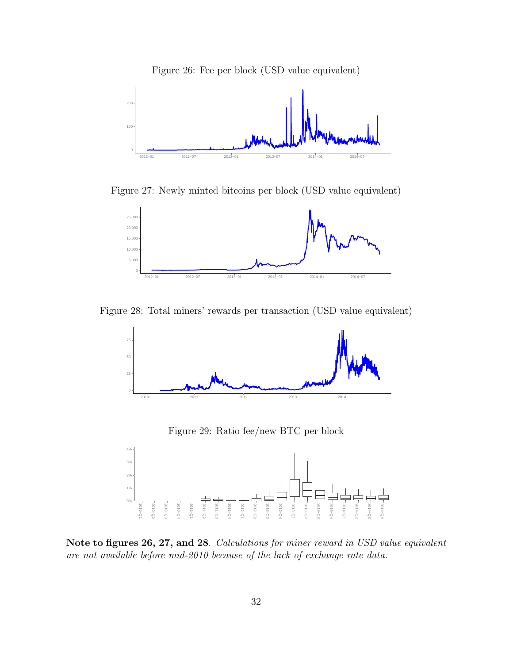<span id="page-32-0"></span>Figure 26: Fee per block (USD value equivalent)



Figure 27: Newly minted bitcoins per block (USD value equivalent)

<span id="page-32-1"></span>

Figure 28: Total miners' rewards per transaction (USD value equivalent)

<span id="page-32-2"></span>

<span id="page-32-3"></span>Figure 29: Ratio fee/new BTC per block



Note to figures [26,](#page-32-0) [27,](#page-32-1) and [28](#page-32-2). Calculations for miner reward in USD value equivalent are not available before mid-2010 because of the lack of exchange rate data.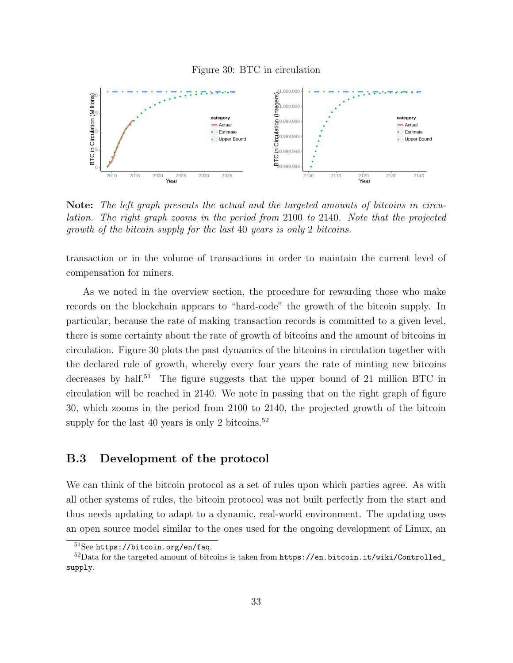#### <span id="page-33-0"></span>Figure 30: BTC in circulation



Note: The left graph presents the actual and the targeted amounts of bitcoins in circulation. The right graph zooms in the period from 2100 to 2140. Note that the projected growth of the bitcoin supply for the last 40 years is only 2 bitcoins.

transaction or in the volume of transactions in order to maintain the current level of compensation for miners.

As we noted in the overview section, the procedure for rewarding those who make records on the blockchain appears to "hard-code" the growth of the bitcoin supply. In particular, because the rate of making transaction records is committed to a given level, there is some certainty about the rate of growth of bitcoins and the amount of bitcoins in circulation. Figure [30](#page-33-0) plots the past dynamics of the bitcoins in circulation together with the declared rule of growth, whereby every four years the rate of minting new bitcoins decreases by half.<sup>[51](#page-33-1)</sup> The figure suggests that the upper bound of 21 million BTC in circulation will be reached in 2140. We note in passing that on the right graph of figure [30,](#page-33-0) which zooms in the period from 2100 to 2140, the projected growth of the bitcoin supply for the last 40 years is only 2 bitcoins.<sup>[52](#page-33-2)</sup>

## B.3 Development of the protocol

We can think of the bitcoin protocol as a set of rules upon which parties agree. As with all other systems of rules, the bitcoin protocol was not built perfectly from the start and thus needs updating to adapt to a dynamic, real-world environment. The updating uses an open source model similar to the ones used for the ongoing development of Linux, an

<span id="page-33-2"></span><span id="page-33-1"></span><sup>51</sup>See <https://bitcoin.org/en/faq>.

<sup>52</sup>Data for the targeted amount of bitcoins is taken from [https://en.bitcoin.it/wiki/Controlled\\_](https://en.bitcoin.it/wiki/Controlled_supply) [supply](https://en.bitcoin.it/wiki/Controlled_supply).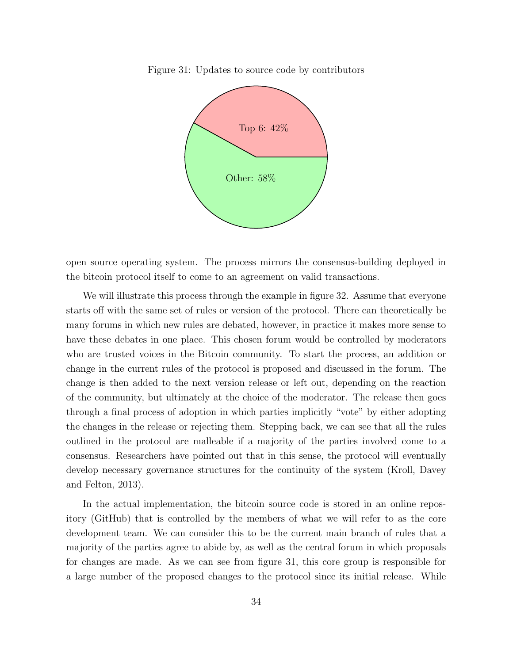<span id="page-34-0"></span>

Figure 31: Updates to source code by contributors

open source operating system. The process mirrors the consensus-building deployed in the bitcoin protocol itself to come to an agreement on valid transactions.

We will illustrate this process through the example in figure [32.](#page-35-0) Assume that everyone starts off with the same set of rules or version of the protocol. There can theoretically be many forums in which new rules are debated, however, in practice it makes more sense to have these debates in one place. This chosen forum would be controlled by moderators who are trusted voices in the Bitcoin community. To start the process, an addition or change in the current rules of the protocol is proposed and discussed in the forum. The change is then added to the next version release or left out, depending on the reaction of the community, but ultimately at the choice of the moderator. The release then goes through a final process of adoption in which parties implicitly "vote" by either adopting the changes in the release or rejecting them. Stepping back, we can see that all the rules outlined in the protocol are malleable if a majority of the parties involved come to a consensus. Researchers have pointed out that in this sense, the protocol will eventually develop necessary governance structures for the continuity of the system [\(Kroll, Davey](#page-37-9) [and Felton,](#page-37-9) [2013\)](#page-37-9).

In the actual implementation, the bitcoin source code is stored in an online repository (GitHub) that is controlled by the members of what we will refer to as the core development team. We can consider this to be the current main branch of rules that a majority of the parties agree to abide by, as well as the central forum in which proposals for changes are made. As we can see from figure [31,](#page-34-0) this core group is responsible for a large number of the proposed changes to the protocol since its initial release. While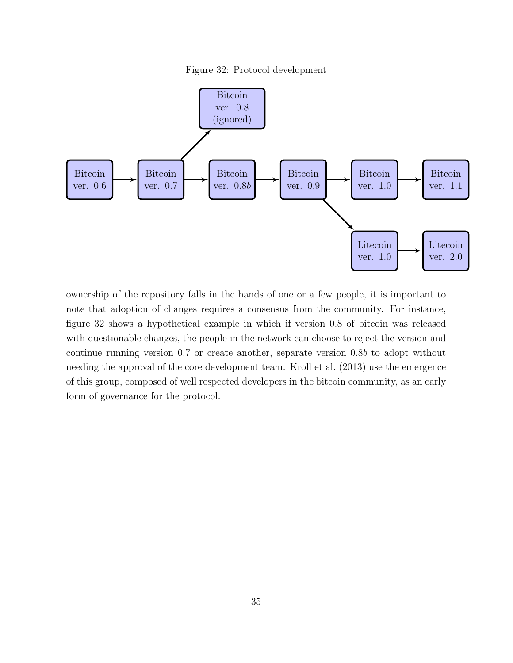<span id="page-35-0"></span>Figure 32: Protocol development



ownership of the repository falls in the hands of one or a few people, it is important to note that adoption of changes requires a consensus from the community. For instance, figure [32](#page-35-0) shows a hypothetical example in which if version 0.8 of bitcoin was released with questionable changes, the people in the network can choose to reject the version and continue running version 0.7 or create another, separate version 0.8b to adopt without needing the approval of the core development team. [Kroll et al.](#page-37-9) [\(2013\)](#page-37-9) use the emergence of this group, composed of well respected developers in the bitcoin community, as an early form of governance for the protocol.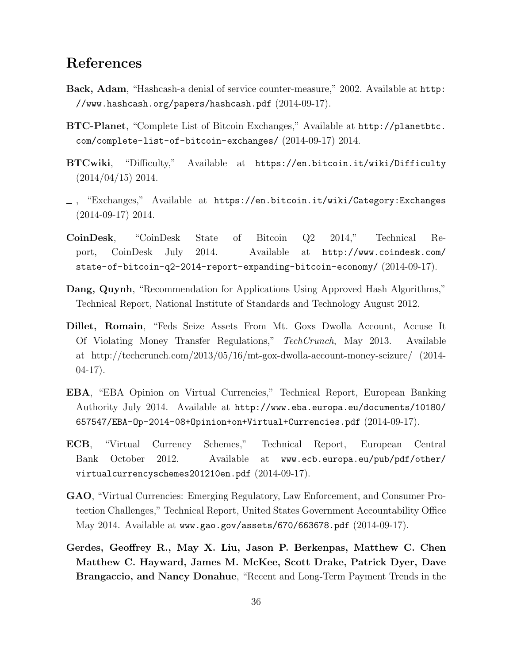# References

- <span id="page-36-4"></span>Back, Adam, "Hashcash-a denial of service counter-measure," 2002. Available at [http:](http://www.hashcash.org/papers/hashcash.pdf) [//www.hashcash.org/papers/hashcash.pdf](http://www.hashcash.org/papers/hashcash.pdf) (2014-09-17).
- <span id="page-36-8"></span>BTC-Planet, "Complete List of Bitcoin Exchanges," Available at [http://planetbtc.](http://planetbtc.com/complete-list-of-bitcoin-exchanges/) [com/complete-list-of-bitcoin-exchanges/](http://planetbtc.com/complete-list-of-bitcoin-exchanges/) (2014-09-17) 2014.
- <span id="page-36-9"></span>BTCwiki, "Difficulty," Available at <https://en.bitcoin.it/wiki/Difficulty>  $(2014/04/15)$  2014.
- <span id="page-36-7"></span>, "Exchanges," Available at <https://en.bitcoin.it/wiki/Category:Exchanges> (2014-09-17) 2014.
- <span id="page-36-0"></span>CoinDesk, "CoinDesk State of Bitcoin Q2 2014," Technical Report, CoinDesk July 2014. Available at [http://www.coindesk.com/](http://www.coindesk.com/state-of-bitcoin-q2-2014-report-expanding-bitcoin-economy/) [state-of-bitcoin-q2-2014-report-expanding-bitcoin-economy/](http://www.coindesk.com/state-of-bitcoin-q2-2014-report-expanding-bitcoin-economy/) (2014-09-17).
- <span id="page-36-3"></span>Dang, Quynh, "Recommendation for Applications Using Approved Hash Algorithms," Technical Report, National Institute of Standards and Technology August 2012.
- <span id="page-36-6"></span>Dillet, Romain, "Feds Seize Assets From Mt. Goxs Dwolla Account, Accuse It Of Violating Money Transfer Regulations," TechCrunch, May 2013. Available at http://techcrunch.com/2013/05/16/mt-gox-dwolla-account-money-seizure/ (2014- 04-17).
- <span id="page-36-2"></span>EBA, "EBA Opinion on Virtual Currencies," Technical Report, European Banking Authority July 2014. Available at [http://www.eba.europa.eu/documents/10180/](http://www.eba.europa.eu/documents/10180/657547/EBA-Op-2014-08+Opinion+on+Virtual+Currencies.pdf) [657547/EBA-Op-2014-08+Opinion+on+Virtual+Currencies.pdf](http://www.eba.europa.eu/documents/10180/657547/EBA-Op-2014-08+Opinion+on+Virtual+Currencies.pdf) (2014-09-17).
- ECB, "Virtual Currency Schemes," Technical Report, European Central Bank October 2012. Available at [www.ecb.europa.eu/pub/pdf/other/](www.ecb.europa.eu/pub/pdf/other/virtualcurrencyschemes201210en.pdf) [virtualcurrencyschemes201210en.pdf](www.ecb.europa.eu/pub/pdf/other/virtualcurrencyschemes201210en.pdf) (2014-09-17).
- <span id="page-36-1"></span>GAO, "Virtual Currencies: Emerging Regulatory, Law Enforcement, and Consumer Protection Challenges," Technical Report, United States Government Accountability Office May 2014. Available at <www.gao.gov/assets/670/663678.pdf> (2014-09-17).
- <span id="page-36-5"></span>Gerdes, Geoffrey R., May X. Liu, Jason P. Berkenpas, Matthew C. Chen Matthew C. Hayward, James M. McKee, Scott Drake, Patrick Dyer, Dave Brangaccio, and Nancy Donahue, "Recent and Long-Term Payment Trends in the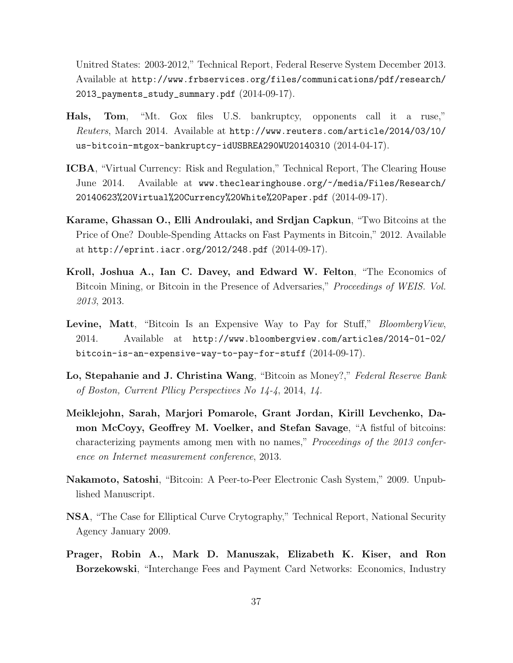Unitred States: 2003-2012," Technical Report, Federal Reserve System December 2013. Available at [http://www.frbservices.org/files/communications/pdf/research/](http://www.frbservices.org/files/communications/pdf/research/2013_payments_study_summary.pdf) [2013\\_payments\\_study\\_summary.pdf](http://www.frbservices.org/files/communications/pdf/research/2013_payments_study_summary.pdf) (2014-09-17).

- <span id="page-37-8"></span>Hals, Tom, "Mt. Gox files U.S. bankruptcy, opponents call it a ruse," Reuters, March 2014. Available at [http://www.reuters.com/article/2014/03/10/](http://www.reuters.com/article/2014/03/10/us-bitcoin-mtgox-bankruptcy-idUSBREA290WU20140310) [us-bitcoin-mtgox-bankruptcy-idUSBREA290WU20140310](http://www.reuters.com/article/2014/03/10/us-bitcoin-mtgox-bankruptcy-idUSBREA290WU20140310) (2014-04-17).
- <span id="page-37-0"></span>ICBA, "Virtual Currency: Risk and Regulation," Technical Report, The Clearing House June 2014. Available at [www.theclearinghouse.org/~/media/Files/Research/](www.theclearinghouse.org/~/media/Files/Research/20140623%20Virtual%20Currency%20White%20Paper.pdf) [20140623%20Virtual%20Currency%20White%20Paper.pdf](www.theclearinghouse.org/~/media/Files/Research/20140623%20Virtual%20Currency%20White%20Paper.pdf) (2014-09-17).
- <span id="page-37-4"></span>Karame, Ghassan O., Elli Androulaki, and Srdjan Capkun, "Two Bitcoins at the Price of One? Double-Spending Attacks on Fast Payments in Bitcoin," 2012. Available at <http://eprint.iacr.org/2012/248.pdf> (2014-09-17).
- <span id="page-37-9"></span>Kroll, Joshua A., Ian C. Davey, and Edward W. Felton, "The Economics of Bitcoin Mining, or Bitcoin in the Presence of Adversaries," Proceedings of WEIS. Vol. 2013, 2013.
- <span id="page-37-2"></span>Levine, Matt, "Bitcoin Is an Expensive Way to Pay for Stuff," Bloomberg View, 2014. Available at [http://www.bloombergview.com/articles/2014-01-02/](http://www.bloombergview.com/articles/2014-01-02/bitcoin-is-an-expensive-way-to-pay-for-stuff) [bitcoin-is-an-expensive-way-to-pay-for-stuff](http://www.bloombergview.com/articles/2014-01-02/bitcoin-is-an-expensive-way-to-pay-for-stuff) (2014-09-17).
- <span id="page-37-3"></span>Lo, Stepahanie and J. Christina Wang, "Bitcoin as Money?," Federal Reserve Bank of Boston, Current Pllicy Perspectives No 14-4, 2014, 14.
- <span id="page-37-7"></span>Meiklejohn, Sarah, Marjori Pomarole, Grant Jordan, Kirill Levchenko, Damon McCoyy, Geoffrey M. Voelker, and Stefan Savage, "A fistful of bitcoins: characterizing payments among men with no names," Proceedings of the 2013 conference on Internet measurement conference, 2013.
- <span id="page-37-6"></span>Nakamoto, Satoshi, "Bitcoin: A Peer-to-Peer Electronic Cash System," 2009. Unpublished Manuscript.
- <span id="page-37-5"></span>NSA, "The Case for Elliptical Curve Crytography," Technical Report, National Security Agency January 2009.
- <span id="page-37-1"></span>Prager, Robin A., Mark D. Manuszak, Elizabeth K. Kiser, and Ron Borzekowski, "Interchange Fees and Payment Card Networks: Economics, Industry